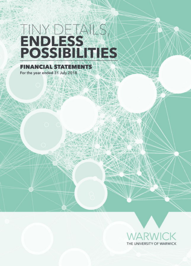# ENDLESS<br>ENDLESS<br>POSSIBILITIES

**FINANCIAL STATEMENTS** For the year ended 31 July 2018

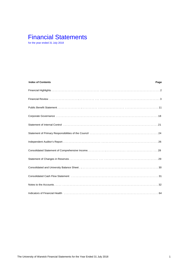# Financial Statements

for the year ended 31 July 2018

| <b>Index of Contents</b>                                                                                                                                                                                                       | Page |
|--------------------------------------------------------------------------------------------------------------------------------------------------------------------------------------------------------------------------------|------|
|                                                                                                                                                                                                                                |      |
|                                                                                                                                                                                                                                |      |
|                                                                                                                                                                                                                                |      |
|                                                                                                                                                                                                                                |      |
| Statement of Internal Control (1000) (1000) (1000) (1000) (1000) (1000) (1000) (1000) (1000) (1000) (1000) (1000) (1000) (1000) (1000) (1000) (1000) (1000) (1000) (1000) (1000) (1000) (1000) (1000) (1000) (1000) (1000) (10 |      |
|                                                                                                                                                                                                                                |      |
|                                                                                                                                                                                                                                |      |
|                                                                                                                                                                                                                                |      |
|                                                                                                                                                                                                                                |      |
|                                                                                                                                                                                                                                |      |
| Consolidated Cash Flow Statement (and according to the control of the consolidated Cash Flow Statement (and according to the consolidated Cash Flow Statement (and according to the consolidated Cash Flow Statement (and acco |      |
|                                                                                                                                                                                                                                |      |
| Indicators of Financial Health National Account of the Contract of Contract of Contract of G4                                                                                                                                  |      |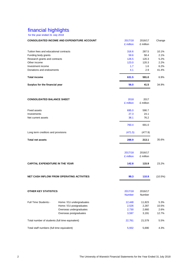# financial highlights

for the year ended 31 July 2018

|                                                 | <b>CONSOLIDATED INCOME AND EXPENDITURE ACCOUNT</b> | 2017/18       | 2016/17   | Change     |
|-------------------------------------------------|----------------------------------------------------|---------------|-----------|------------|
|                                                 |                                                    | £ million     | £ million |            |
|                                                 |                                                    |               |           |            |
| Tuition fees and educational contracts          |                                                    | 316.6         | 287.5     | 10.1%      |
| Funding body grants                             |                                                    | 59.6          | 58.4      | 2.1%       |
| Research grants and contracts                   |                                                    | 126.5         | 120.3     | 5.2%       |
| Other income                                    |                                                    | 123.0         | 120.3     | 2.2%       |
| Investment income                               |                                                    | 1.7           | 1.6       | 6.2%       |
| Donations and endowments                        |                                                    | 4.1           | 2.9       | 41.4%      |
| <b>Total income</b>                             |                                                    | 631.5         | 591.0     | 6.9%       |
| Surplus for the financial year                  |                                                    | 56.0          | 41.5      | 34.9%      |
|                                                 |                                                    |               |           |            |
| <b>CONSOLIDATED BALANCE SHEET</b>               |                                                    | 2018          | 2017      |            |
|                                                 |                                                    | £ million     | £ million |            |
| <b>Fixed assets</b>                             |                                                    | 695.0         | 590.7     |            |
| Investments                                     |                                                    | 27.3          | 24.1      |            |
| Net current assets                              |                                                    | 38.1          | 76.2      |            |
|                                                 |                                                    |               |           |            |
|                                                 |                                                    | 760.4         | 691.0     |            |
| Long term creditors and provisions              |                                                    | (471.5)       | (477.9)   |            |
| <b>Total net assets</b>                         |                                                    | 288.9         | 213.1     | 35.6%      |
|                                                 |                                                    |               |           |            |
|                                                 |                                                    | 2017/18       | 2016/17   |            |
|                                                 |                                                    | £ million     | £ million |            |
|                                                 |                                                    |               |           |            |
| <b>CAPITAL EXPENDITURE IN THE YEAR</b>          |                                                    | 142.8         | 115.9     | 23.2%      |
|                                                 |                                                    |               |           |            |
|                                                 | <b>NET CASH INFLOW FROM OPERATING ACTIVITIES</b>   | 99.3          | 110.9     | $(10.5\%)$ |
|                                                 |                                                    |               |           |            |
| <b>OTHER KEY STATISTICS</b>                     |                                                    | 2017/18       | 2016/17   |            |
|                                                 |                                                    | <b>Number</b> | Number    |            |
|                                                 |                                                    |               |           |            |
| Full Time Students:-                            | Home / EU undergraduates                           | 12,448        | 11,823    | 5.3%       |
|                                                 | Home / EU postgraduates                            | 2,526         | 2,287     | 10.5%      |
|                                                 | Overseas undergraduates                            | 2,730         | 2,660     | 2.6%       |
|                                                 |                                                    |               |           | 12.7%      |
|                                                 | Overseas postgraduates                             | 3,597         | 3,191     |            |
| Total number of students (full time equivalent) |                                                    | 22,761        | 21,579    | 5.5%       |
|                                                 |                                                    |               |           |            |
| Total staff numbers (full time equivalent)      |                                                    | 5,932         | 5,690     | 4.3%       |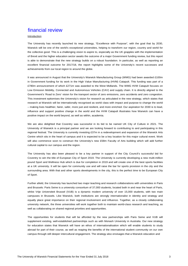#### **Introduction**

The University has recently launched its new strategy, "Excellence with Purpose", with the goal that by 2030, Warwick will be one of the world's exceptional universities, helping to transform our region, country and world for the collective good. This is a challenging vision to aspire to, especially as the UK grapples with the implementation of Brexit and the higher education sector awaits the outcome of a major Government funding review, but this report is able to demonstrate that the new strategy builds on a robust foundation. In particular, as well as reporting an excellent financial outcome for 2017/18, the report highlights some of the University's recent successes and achievements from our local region to around the globe.

It was announced in August that the University's Warwick Manufacturing Group (WMG) had been awarded £100m in Government funding for its work in the High Value Manufacturing (HVM) Catapult. This funding was part of a £780m announcement of which £271m was awarded to the West Midlands. The WMG HVM Catapult focuses on Low Emission Mobility, Connected and Autonomous Vehicles (CAV) and supply chain. It is directly aligned to the Government's 'Road to Zero' vision for the transport sector of zero emissions, zero accidents and zero congestion. This investment epitomises the University's vision for research as articulated in the new strategy, which states that research at Warwick will be internationally recognised as world class with impact and purpose to change the world – making lives healthier, fairer, safer, more just and resilient, and more enriched. Our aspiration for 2030 is to lead, influence and support positive change in the world and the HVM Catapult illustrates how Warwick can have a positive impact on the world beyond, as well as within, academia.

We are also delighted that Coventry was successful in its bid to be named UK City of Culture in 2021. The University of Warwick is a principal partner and we are looking forward to contributing to and participating in this regional festival. The University is currently investing £37m in a redevelopment and expansion of the Warwick Arts Centre which sits in the heart of campus and it is expected to be a key location for this major cultural event. Work will also commence soon to construct the University's new £58m Faculty of Arts building which will add further cultural capital to our campus and the region.

The University has also been pleased to be a key partner in support of the City Council's successful bid for Coventry to win the title of European City of Sport 2019. The University is currently developing a new multi-million pound Sport and Wellness Hub which is due for completion in 2019 and will create one of the best sports facilities at a UK university. It will be open for community use and will raise the bar for sports provision in the city and the surrounding area. With that and other sports developments in the city, this is the perfect time to be European City of Sport.

Further afield, the University has launched two major teaching and research collaborations with universities in Paris and Brussels: Paris Seine is a university consortium of 37,000 students, located both in and near the heart of Paris, whilst Vrije Universiteit Brussel (VUB) is a dynamic modern university of over 15,000 students, with two main campuses in Brussels. Like Warwick, both institutions are strongly internationalist in identity and strategy and equally place great importance on their regional involvement and influence. Together, as a closely collaborating university network, the three universities will work together both to maintain world-class research and teaching, as well as collaborating on shared regional priorities and opportunities.

The opportunities for students that will be afforded by the new partnerships with Paris Seine and VUB will supplement existing, well-established partnerships such as with Monash University in Australia. Our new strategy for education states that Warwick will have an ethos of internationalisation which will enable students to study abroad for part of their course, as well as reaping the benefits of the international student community on our own campus through still deeper intercultural engagement. The strategy also envisages that a Warwick education and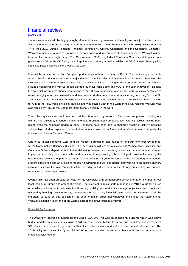#### (continued)

student experience will be highly sought after and valued by learners and employers, not just in the UK but across the world. We are building on a strong foundation, with Times Higher Education (THE) placing Warwick 4<sup>th</sup> in their 2018 Europe Teaching Rankings, behind only Oxford, Cambridge and the Sorbonne. Ultimately, Warwick remains an attractive proposition for both home and international students because as Warwick alumni they will face a very bright future. The Government's 2018 Longitudinal Education Outcomes data placed our graduates as 6th in the UK for high earnings five years after graduation, whilst the QS Graduate Employability Rankings placed Warwick in the world's top 100.

It would be remiss to mention European partnerships without touching on Brexit. The continuing uncertainty around the final outcome remains a major risk for UK universities and Warwick is no exception. However, the University will continue to seek out new and innovative solutions to mitigate the risks and the establishment of strategic collaborations with European partners such as Paris Seine and VUB is one such innovation. Despite the potential for Brexit to change perceptions of the UK as a great place to study and work, Warwick continues to remain a highly attractive destination and international student recruitment remains strong, including from the EU. The University also continues to enjoy significant success in international rankings. Warwick climbed 12 places to 79th in the THE world university ranking and was placed 54th in the world in the QS ranking. Warwick was also ranked by THE as the 19th most international university in the world.

The University's success would not be possible without a strong network of friends and supporters, including our alumni. The University reached a major landmark in philanthropic donations last year with £100m having been raised since the campaign began in 2006. Donations have been able to support a wealth of activity including scholarships, student experience, new student facilities, Warwick in Africa and academic research, in particular the Warwick Cancer Research Centre.

One of our major donations, £2m from the Wolfson Foundation, has helped to fund our new, recently-opened, £27m Mathematical Sciences Building. This new facility will enable our excellent Mathematics, Statistics and Computer Science departments to thrive, delivering research and teaching outcomes that can have a profound impact on our society, our communities and our cities. At 6 stories high, this building will provide the capacity the mathematical sciences departments need for their activities for years to come. As well as offering an enhanced student experience and an excellent research environment it will also house staff who work on interdisciplinary initiatives such as the Alan Turing Institute, providing a further boost to the already outstanding international reputation of these departments.

Overall, this has been an excellent year for the University with demonstrable achievements on campus, in our local region, in Europe and around the globe. The excellent financial performance in 2017/18 is a further source of satisfaction because it maintains the University's ability to invest in its strategic objectives. With significant uncertainty hanging over the sector, the importance of a strong financial base cannot be overstated. It will be important to build on this position in the year ahead in order that whatever challenges the future brings, Warwick's ambition to be one of the world's exceptional universities is achieved.

#### Financial Performance

The University recorded a surplus for the year of £56.0m. This was an exceptional outcome which was above budget and the previous year's surplus of £41.5m. The University targets an average annual surplus in excess of 5% of income in order to generate sufficient cash to maintain and enhance our capital infrastructure. The 2017/18 figure of a surplus figure of 8.9% of income provides reassurance that the University remains on a stable financial footing.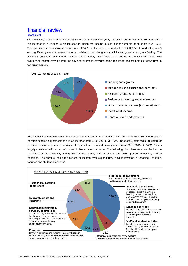#### (continued)

The University's total income increased 6.9% from the previous year, from £591.0m to £631.5m. The majority of this increase is in relation to an increase in tuition fee income due to higher numbers of students in 2017/18. Research income also showed an increase of £6.2m in the year to a total value of £126.5m. In particular, WMG saw significant growth in research income, building on its strong industry links and government grant funding. The University continues to generate income from a variety of sources, as illustrated in the following chart. This diversity of income streams from the UK and overseas provides some resilience against potential downturns in particular markets.



The financial statements show an increase in staff costs from £298.0m to £321.1m. After removing the impact of pension scheme adjustments this is an increase from £296.2m to £324.6m. Importantly, staff costs (adjusted for pension movements) as a percentage of expenditure remained broadly constant at 56% (2016/17: 54%). This is largely consistent with expectations and in line with sector norms. The following chart illustrates how the income generated by the University during 2017/18 was spent, with the expenditure being grouped under key activity headings. The surplus, being the excess of income over expenditure, is all re-invested in teaching, research, facilities and student experience.

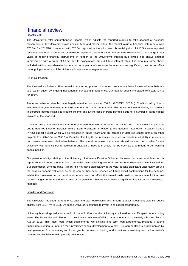#### (continued)

The University's total comprehensive income, which adjusts the reported surplus to take account of actuarial movements on the University's own pension fund and movements in the market value of financial instruments, was £75.8m for 2017/18, compared with £75.6m reported in the prior year. Actuarial gains of £13.5m were reported reflecting economic experience, primarily in respect of salary inflation, and scheme experience. The change in fair value of hedging financial instruments in relation to the University's interest rate swaps also shows another improvement with a credit of £6.3m due to expectations around future interest rates. The amounts noted above included within comprehensive income do not impact cash so while the numbers are significant, they do not affect the ongoing operations of the University in a positive or negative way.

#### Financial Position

The University's Balance Sheet remains in a strong position. Our non-current assets have increased from £614.8m to £722.3m driven by ongoing investment in our capital programmes. Our total net assets increased from £213.1m to £288.9m.

Trade and other receivables have largely remained constant at £50.8m (2016/17: £47.9m). Creditors falling due in less than one year increased from £160.5m to £178.7m at the year end. This movement was driven by an increase in deferred income relating to student income and an increase in trade payables due to a number of large capital invoices at the year end.

Creditors falling due after more than one year also increased from £389.2m to £397.7m. This increase is primarily due to deferred income (increase from £75.3m to £85.9m) in relation to the National Automotive Innovation Centre (NAIC) capital project which will be released in future years and an increase in deferred capital grants on other projects from £146.3m to £155.1m. Partially offsetting these increases there was a reduction in liability in relation to our interest rate swap derivative balance. The overall increase in creditors should be seen as positive for the University with funding being received in advance of need and should not be seen as a detriment to our working capital position.

Our pension liability relating to the University of Warwick Pension Scheme, discussed in more detail later in this report, reduced during the year due to actuarial gains reflecting economic and scheme experience. The Universities Superannuation Scheme (USS) liability did not move significantly in the year despite significant uncertainty around the ongoing scheme valuation, as no agreement has been reached on future deficit contributions for the scheme. Whilst the movement in the pension schemes does not affect the overall cash position, we are mindful that any future changes to the contribution rates of the pension schemes could have a significant impact on the University's finances.

#### Liquidity and Borrowing

The University has seen the total of its cash and cash equivalents and its current asset investment balance reduce slightly from £187.7m to £165.1m as the University continues to invest in its capital programme.

University borrowings reduced from £119.2m to £115.6m as the University continued to pay off capital on its existing loans. The University had planned to draw down a new loan of £75m during the year but ultimately this took place in August 2018. This latest loan, which supplements two existing long term loan agreements, provides a strong financial foundation to underpin the University's capital development strategy. The loan portfolio is supplemented by cash generated from operating surpluses, grants, partnership funding and donations in ensuring that the University's campus and facilities remain globally competitive.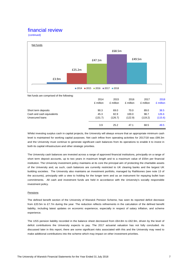(continued)



Whilst investing surplus cash in capital projects, the University will always ensure that an appropriate minimum cash level is maintained for working capital purposes. Net cash inflow from operating activities for 2017/18 was £99.3m and the University must continue to generate significant cash balances from its operations to enable it to invest in both its capital infrastructure and other strategic priorities.

The University cash balances are invested across a range of approved financial institutions, principally on a range of short term deposit accounts, up to two years in maximum length and to a maximum value of £55m per financial institution. The University investment policy maintains at its core the principal aim of protecting the charitable assets of the University and, as such, cash balances are currently restricted to UK clearing banks and the largest UK building societies. The University also maintains an investment portfolio, managed by Rathbones (see note 13 of the accounts), principally with a view to holding for the longer term and as an instrument for repaying bullet loan commitments. All cash and investment funds are held in accordance with the University's socially responsible investment policy.

#### Pensions

The defined benefit section of the University of Warwick Pension Scheme, has seen its reported deficit decrease from £20.5m to £7.7m during the year. The reduction reflects refinements in the calculation of the defined benefit liability, including latest updates on economic experience, especially in respect of salary inflation, and scheme experience.

The USS pension liability recorded in the balance sheet decreased from £64.8m to £62.9m, driven by the level of deficit contributions the University expects to pay. The 2017 actuarial valuation has not fully concluded. As discussed later in this report, there are some significant risks associated with this and the University may need to make additional contributions into the scheme which may impact on other investment priorities.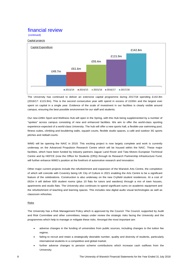## (continued)

#### Capital projects



The University has continued to deliver an extensive capital programme during 2017/18 spending £142.8m (2016/17: £115.9m). This is the second consecutive year with spend in excess of £100m and the largest ever spent on capital in a single year. Evidence of the scale of investment in our facilities is clearly visible around campus, ensuring the best possible environment for our staff and students.

Our new £49m Sport and Wellness Hub will open in the Spring, with this Hub being supplemented by a number of "spokes" across campus consisting of new and enhanced facilities. We aim to offer the world-class sporting experience expected of a world-class University. The hub will offer a new sports hall, a flexible-use swimming pool, fitness suites, climbing and bouldering walls, squash courts, flexible studio spaces, a café and outdoor 3G sports pitches and netball courts.

WMG will be opening the NAIC in 2019. This exciting project is now largely complete and work is currently underway on the Advanced Propulsion Research Centre which will be housed within the NAIC. These major facilities, which have been funded by industry partners Jaguar Land Rover and Tata Motors European Technical Centre and by HEFCE (now the Office for Students (OfS)) through its Research Partnership Infrastructure Fund, will further enhance WMG's position at the forefront of automotive research and innovation.

Other major current projects include the refurbishment and expansion of the Warwick Arts Centre, the completion of which will coincide with Coventry being UK City of Culture in 2021 enabling the Arts Centre to be a significant feature of the celebrations. Construction is also underway on the new Cryfield student residences. At a cost of £62m it will deliver 828 student rooms (plus 10 flats for tutors and wardens) through a mix of town houses, apartments and studio flats. The University also continues to spend significant sums on academic equipment and the refurbishment of teaching and learning spaces. This includes new digital audio visual technologies as well as classroom refreshes.

#### Risks

The University has a Risk Management Policy which is approved by the Council. The Council, supported by Audit and Risk Committee and other committees, keeps under review the strategic risks facing the University and the programmes which help to manage or mitigate these risks. Amongst the most important are:

- adverse changes in the funding of universities from public sources, including changes to the tuition fee regime;
- failing to recruit and retain a strategically desirable number, quality and diversity of students, particularly international students in a competitive and global market;
- further adverse changes to pension scheme contributions which increase cash outflows from the University;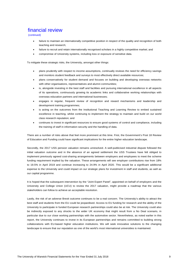(continued)

- failure to maintain an internationally competitive position in respect of the quality and recognition of both teaching and research;
- failure to recruit and retain internationally recognised scholars in a highly competitive market; and
- compromise of University systems, including loss or exposure of sensitive data.

To mitigate these strategic risks, the University, amongst other things:

- plans prudently with respect to income assumptions, continually reviews the need for efficiency savings and monitors student feedback and surveys to most effectively direct available resources;
- plans conservatively for student demand and focuses on building and developing overseas networks with other organisations, representatives and alumni communities;
- is, alongside investing in the best staff and facilities and pursuing international excellence in all aspects of its operations, continuously growing its academic links and collaborative working relationships with overseas education partners and international businesses;
- engages in regular, frequent review of recognition and reward mechanisms and leadership and development training programmes;
- is acting on the outcomes from the Institutional Teaching and Learning Review to embed sustained excellence in teaching, whilst continuing to implement the strategy to maintain and build on our world class research reputation; and
- continues to invest in significant resources to ensure good systems of control and compliance, including the training of staff in information security and the handling of data.

There are a number of risks above that feel more prominent at this time. First, the Government's Post 18 Review of Education and Funding could have significant implications for the entire higher education landscape.

Secondly, the 2017 USS pension valuation remains unresolved. A well-publicised industrial dispute followed the initial valuation outcome and in the absence of an agreed settlement the USS Trustees have felt obliged to implement previously agreed cost-sharing arrangements between employers and employees to meet the scheme funding requirement implied by the valuation. These arrangements will see employer contributions rise from 18% to 19.5% in April 2019 and continue increasing to 24.9% in April 2020. This would be a significant additional expense to the University and could impact on our strategic plans for investment in staff and students, as well as our capital programme.

It is hoped that the subsequent intervention by the "Joint Expert Panel", appointed on behalf of employers and the University and College Union (UCU) to review the 2017 valuation, might provide a roadmap that the various stakeholders can follow to achieve an acceptable resolution.

Lastly, the risk of an adverse Brexit outcome continues to be a real concern. The University's ability to attract the best staff and students from the EU could be jeopardised. Access to EU funding for research and the ability of the University to participate in funded European research partnerships could also be at risk. The University could also be indirectly exposed to any shocks to the wider UK economy that might result from a No Deal scenario, in particular due to our close working partnerships with the automotive sector. Nevertheless, as noted earlier in this report, the University continues to invest in its European partnerships and remains committed to building strong collaborations with EU-based higher education institutions. We will seek innovative solutions to the changing landscape to ensure that our reputation as one of the world's most international universities is maintained.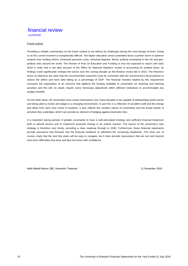(continued)

#### Future outlook

Providing a reliable commentary on the future outlook is not without its challenges during the most benign of times. Doing so at this current moment is exceptionally difficult. The higher education sector potentially faces a perfect storm of adverse impacts from funding reform, increased pensions costs, industrial disputes, Brexit, political uncertainty in the UK and geopolitical risks around the world. The Review of Post 18 Education and Funding is now not expected to report until early 2019 in order that it can take account of the Office for National Statistics' review of accounting for student loans. Its findings could significantly reshape the sector over the coming decade as the Browne review did in 2010. The Review's terms of reference are clear that the recommended outcomes must be consistent with the Government's fiscal policies to reduce the deficit and have debt falling as a percentage of GDP. The financial restraint implied by this requirement increases the expectation of an outcome that tightens the funding available to universities for teaching and learning activities and this will, no doubt, require some necessary adjustment within affected institutions to accommodate any budget shortfall.

On the other hand, UK universities have shown themselves over many decades to be capable of withstanding world events and being able to evolve and adapt to a changing environment. In part this is a reflection of excellent staff and the energy and ideas from each new cohort of students. It also reflects the complex nature of universities and the broad variety of activities they undertake, which can provide an element of hedging against downside risks.

It is important during periods of greater uncertainty to have a well-articulated strategy and sufficient financial headroom both to absorb shocks and to implement essential change in an orderly manner. The launch of the University's new strategy is therefore very timely, providing a clear roadmap through to 2030. Furthermore, these financial statements provide assurance that Warwick has the financial resilience to withstand the increasing headwinds. This does not, of course, imply that the next few years will be easy to navigate, but it does provide reassurance that we can look beyond short term difficulties that arise and face the future with confidence.

Keith Bedell-Pearce CBE, University Treasurer 21 November 2018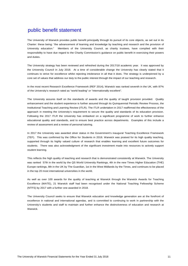The University of Warwick provides public benefit principally through its pursuit of its core objects, as set out in its Charter: these being: "the advancement of learning and knowledge by teaching and research and the provision of University education." Members of the University Council, as charity trustees, have complied with their responsibility to have due regard to the Charity Commission's guidance on public benefit in exercising their powers and duties.

The University strategy has been reviewed and refreshed during the 2017/18 academic year. It was approved by the University Council in July 2018. At a time of considerable change the University has clearly stated that it continues to strive for excellence whilst rejecting intolerance in all that it does. The strategy is underpinned by a core set of values that address our duty to the public interest through the impact of our teaching and research.

In the most recent Research Excellence Framework (REF 2014), Warwick was ranked seventh in the UK, with 87% of the University's research rated as "world leading" or "internationally excellent".

The University assures itself on the standards of awards and the quality of taught provision provided. Quality enhancement and the student experience is further assured through its Quinquennial Periodic Review Process, the Institutional Teaching and Learning Review (ITLR). The ITLR undertaken in 2017 reaffirmed the effectiveness of the approach in meeting the University's requirement to secure the quality and standards of its education provision. Following the 2017 ITLR the University has embarked on a significant programme of work to further enhance educational quality and standards, and to ensure best practice across departments. Examples of this include a review of assessment and a review of personal tutoring.

In 2017 the University was awarded silver status in the Government's inaugural Teaching Excellence Framework (TEF). This was confirmed by the Office for Students in 2018. Warwick was praised for its high quality teaching, supported through its highly valued culture of research that enables learning and excellent future outcomes for students. There was also acknowledgment of the significant investment made into resources to actively support student learning.

This reflects the high quality of teaching and research that is demonstrated consistently at Warwick. The University was ranked 57th in the world by the QS World University Rankings, 4th in the new Times Higher Education (THE) Europe rankings, 8th in the UK by The Guardian, 1st in the West Midlands by the Times, and continues to be placed in the top 20 most international universities in the world.

As well as over 100 awards for the quality of teaching at Warwick through the Warwick Awards for Teaching Excellence (WATE), 21 Warwick staff had been recognised under the National Teaching Fellowship Scheme (NTFS) by 2017 with a further one awarded in 2018.

The University Council seeks to ensure that Warwick education and knowledge generation are at the forefront of excellence in national and international agendas, and is committed to continuing to work in partnership with the University's students and staff to maintain and further enhance the distinctiveness of education and research at Warwick.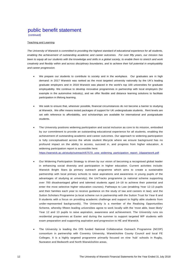(continued)

#### Teaching and Learning

*The University of Warwick is committed to providing the highest standard of educational experience for all students, enabling the achievement of outstanding academic and career outcomes. For over fifty years, our mission has been to equip all our students with the knowledge and skills in a global society, to enable them to stretch and work creatively and flexibly within and across disciplinary boundaries, and to achieve their full potential in employability and career progression.* 

- We prepare our students to contribute to society and in the workplace. Our graduates are in high demand: in 2017 Warwick was ranked as the most targeted university nationally by the UK's leading graduate employers and in 2018 Warwick was placed in the world's top 100 universities for graduate employability. We continue to develop innovative programmes in partnership with local employers (for example in the automotive industry), and we offer flexible and distance learning solutions to facilitate participation in lifelong learning.
- We seek to ensure that, wherever possible, financial circumstances do not become a barrier to studying at Warwick. We offer means tested packages of support for UK undergraduate students. Rent levels are set with reference to affordability, and scholarships are available for international and postgraduate students.
- The University positions widening participation and social inclusion as core to its mission, embodied by our commitment to provide an outstanding educational experience for all students, enabling the achievement of outstanding academic and career outcomes. Our approach to widening participation is fully conceptualised across the whole student lifecycle where we ensure background has no profound impact on the ability to access, succeed in, and progress from higher education. A widening participation report is accessible here:

https://warwick.ac.uk/study/outreach/67570\_uow\_widening\_participation\_report\_16ppartwork.pdf

- Our Widening Participation Strategy is driven by our vision of becoming a recognised global leader in enhancing social diversity and participation in higher education. Current activities include: Warwick Bright Stars **(**a primary outreach programme which aims to create a sustainable partnership with local primary schools to raise aspirations and awareness in young pupils of the advantages of studying at university); the UniTracks programme (a national scheme supporting over 700 disadvantaged gifted and talented students aged 14–18 to achieve their potential and enter the most selective higher education courses); Pathways to Law (enabling Year 12-13 pupils and their families each year to receive guidance on the study of law and careers in law); and the Sutton Scholars Programme (a local scheme run in partnership with the Sutton Trust for Year 8 and 9 students with a focus on providing academic challenge and support to highly able students from under-represented backgrounds). The University is a member of the Realising Opportunities Scheme, whereby fifteen leading universities agree to work locally with the 'most able, least likely' Year 12 and 13 pupils to raise aspiration, awareness and achievement. The University runs six residential programmes at Easter and during the summer to support targeted WP students with exam preparation and supporting aspiration and progression to HE and Warwick.
- The University is leading the OfS funded National Collaborative Outreach Programme (NCOP) consortium in partnership with Coventry University, Warwickshire County Council and local FE Colleges. It is a highly targeted programme primarily focused on nine 'hub' schools in Rugby, Nuneaton and Bedworth and North Warwickshire areas.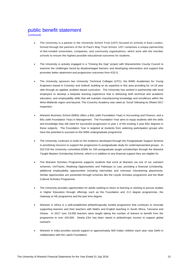(continued)

- The University is a partner in the University School Trust (UST) focused on schools in East London, formed through the partners of the St Paul's Way Trust School. UST comprises a unique partnership of like-minded universities, companies, and community organisations, which work with the member schools to ensure the highest possible educational outcomes for students.
- The University is actively engaged in a "Closing the Gap" project with Warwickshire County Council to examine the challenges faced by disadvantaged learners and developing intervention and support that promotes better attainment and progression outcomes from KS2-5.
- The University sponsors two University Technical Colleges (UTC), the WMG Academies for Young Engineers based in Coventry and Solihull, building on its expertise in this area providing for 14-19 year olds through an applied, problem based curriculum. The University has worked in partnership with local employers to develop a bespoke learning experience that is delivering both technical and academic education, and employability skills that will maintain manufacturing knowledge and excellence within the West Midlands region and beyond. The Coventry Academy was rated as 'Good' following its Ofsted 2017 inspection.
- Warwick Business School (WBS) offers a BSc (with Foundation Year) in Accounting and Finance, and a BSc (with Foundation Year) in Management. The Foundation Year aims to equip students with the skills and knowledge they will need for successful progression to year 1 of the existing 3 year BSc degrees in these subjects. The Foundation Year is targeted at students from widening participation groups who have the potential to succeed on the WBS undergraduate programme.
- The University continues to build on the evidence developed through the Postgraduate Support Scheme in prioritising resource to support the progression to postgraduate study for underrepresented groups. In 2017/18 the University committed £500k for 100 postgraduate taught scholarships through the Warwick Taught Masters Scholarship Scheme, which is in addition to any financial support they are eligible for.
- The Warwick Scholars Programme supports students that enrol at Warwick via one of our outreach schemes, UniTracks, Realising Opportunities and Pathways to Law, providing a financial scholarship, additional employability opportunities including internships and overseas volunteering placements. Similar opportunities are presented through schemes like the Lloyds Scholars programme and the Multi Cultural Scholars Programme.
- The University provides opportunities for adults seeking to return to learning or wishing to pursue studies in Higher Education through offerings such as the Foundation and 2+2 degree programmes, the Gateway to HE programme and the part time degree.
- Warwick in Africa is a well-established philanthropically funded programme that continues to innovate supporting learners and their teachers with Maths and English teaching in South Africa, Tanzania and Ghana. In 2017 over 23,000 learners were taught taking the number of leaners to benefit from the programme to over 420,000. Nearly £3m has been raised in philanthropic income to support global outreach.
- Warwick in India provides tutorial support to approximately 500 Indian children each year near Delhi in collaboration with the Laksh Foundation.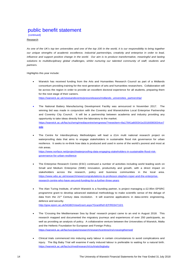(continued)

**Research** 

*As one of the UK's top ten universities and one of the top 100 in the world, it is our responsibility to bring together our unique strengths of academic excellence, industrial partnerships, creativity and enterprise in order to lead, influence and support positive change in the world. Our aim is to produce transformative, meaningful and lasting* solutions to multidisciplinary global challenges, whilst nurturing our talented community of staff, students and *partners.*

Highlights this year include:

 Warwick has received funding from the Arts and Humanities Research Council as part of a Midlands consortium providing training for the next generation of arts and humanities researchers. Collaboration will be across the region in order to provide an excellent doctoral experience for all students, preparing them for the next stage of their careers.

https://warwick.ac.uk/newsandevents/pressreleases/midlands\_universities\_partnership/

- The National Battery Manufacturing Development Facility was announced in November 2017. The winning bid was made in conjunction with the Coventry and Warwickshire Local Enterprise Partnership and Coventry City Council. It will be a partnership between academia and industry providing any opportunity to take ideas directly from the laboratory to the market. https://warwick.ac.uk/fac/sci/wmg/mediacentre/wmgnews/?newsItem=8a17841a600341e20160083034ce7 ede
- The Centre for Interdiscplinary Methodolgies will lead a £1m multi national research project on waterproofing data that aims to engage stakeholders in sustainable flood risk governance for urban resilience. It seeks to re-think how data is produced and used in some of the world's poorest and most at risk areas.

https://www.norface.net/project/waterproofing-data-engaging-stakeholders-in-sustainable-flood-riskgovernance-for-urban-resilience

- The Enterprise Research Centre (ESC) continued a number of activities including world leading work on Small and Medium Enterprise (SME) innovation, productivity and growth, with a direct impact on stakeholders across the research, policy and business communities in the local area. https://www.wbs.ac.uk/research/news/congratulations-to-professor-stephen-roper-and-the-enterpriseresearch-centre-who-have-secured-funding-for-a-further-three-years
- The Alan Turing Institute, of which Warwick is a founding partner, is project managing a £2.95m EPSRC programme grant to develop advanced statistical methodology to make scientific sense of the deluge of data from the 21<sup>st</sup> Century data revolution. It will examine applications in data-centric engineering, defence and security.

http://gow.epsrc.ac.uk/NGBOViewGrant.aspx?GrantRef=EP/R034710/1

- The 'Crossing the Mediterranean Sea by Boat' research project came to an end in August 2018. This research mapped and documented the migratory journeys and experiences of over 250 participants, as well as providing an analysis of policy. A collaborative venture between the Universities of Warwick, Malta and the Hellenic Foundation for European and Foreign Policy. https://warwick.ac.uk/fac/soc/pais/research/researchcentres/irs/crossingthemed/
- Clinical trials commenced into inducing early labour in certain circumstances to avoid complications and injury. The Big Baby Trial will examine if early induced labour is preferable to waiting for a natural birth. https://warwick.ac.uk/fac/sci/med/research/ctu/trials/bigbaby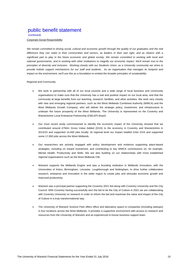(continued)

#### Corporate Social Responsibility

We remain committed to driving social, cultural and economic growth through the quality of our graduates and the real *difference they can make to their communities and sectors, as leaders in their own right, and as citizens with a significant part to play in the future economic and global society. We remain committed to working with local and national governments, and to working with other institutions to magnify our economic impact. We'll remain true to the principles of diversity and inclusion. Working closely with our Students Union, as a University community we strive to provide holistic support mechanisms for our staff and students. As an organisation that manages its footprint and impact on the environment, we'll use this as a foundation to embed the broader principles of sustainability.* 

#### Regional and Community

- We work in partnership with all of our local councils and a wide range of local business and community organisations to make sure that the University has a real and positive impact on our local area, and that the community at large benefits from our teaching, research, facilities, and other activities. We work very closely with new and emerging regional partners, such as the West Midlands Combined Authority (WMCA) and the West Midlands Growth Company, who will deliver the strategic policy, investment, and infrastructure to underpin the future prosperity of the West Midlands. The University is represented on the Coventry and Warwickshire Local Enterprise Partnership (CWLEP) Board.
- Our most recent study commissioned to identify the economic impact of the University showed that we contributed around £784m Gross Value Added (GVA) to the economy in Coventry and Warwickshire in 2014/15 and supported 14,400 jobs locally. At regional level our impact totalled £1bn GVA and supported some 17,900 jobs across the West Midlands.
- Our researchers are actively engaged with policy development and evidence supporting place-based strategies, including on inward investment, and contributing to key WMCA commissions on, for example, Mental Health, Productivity and Skills. We are also building on our relationships with more established regional organisations such as the West Midlands CBI.
- Warwick supports the Midlands Engine and was a founding institution in Midlands Innovation, with the Universities of Aston, Birmingham, Leicester, Loughborough and Nottingham, to drive further collaborative research, enterprise and innovation in the wider region to create jobs and stimulate economic growth and improved productivity.
- Warwick was a principal partner supporting the Coventry 2021 bid along with Coventry University and the City Council. With Coventry having successfully won the bid to be the City of Culture in 2021 we are collaborating with Coventry University on research in order to inform the bid and maximise the value and impact of the City of Culture in a truly transformational way.
- The University of Warwick Science Park offers office and laboratory space to companies (including startups) in four locations across the West Midlands. It provides a supportive environment with access to research and resources from the University of Warwick and an experienced in-house business support team.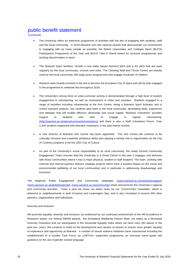(continued)

- The University offers an extensive programme of activities with the aim of engaging with students, staff and the local community. In 2018 Warwick won two national awards that demonstrate our commitment to engaging with as many people as possible: the British Universities and Colleges Sport (BUCS) Participation Programme of the Year and BUCS Take A Stand Award for inclusive programmes and tackling discrimination in sport.
- The Warwick Sport facilities, include a new water based Astroturf pitch and a 4G pitch that are used regularly by the local community, schools and clubs. The Climbing Wall and Tennis Centre are heavily used by the local community with large junior programmes that engage hundreds of children.
- Warwick were heavily involved in the bid to become the European City of Sport and will be fully engaged in the programme to celebrate this throughout 2019.
- The University's strong drive on extra-curricular activity is demonstrated through a high level of student engagement in volunteering, as well as involvement in clubs and societies. Students engaged in a range of activities including volunteering at the Arts Centre, being a Warwick Sport Activator and in school outreach projects. Our students give back to the local community, developing skills, experience and attitudes that will enable effective citizenship and social capital. 'Warwick Volunteers' provides support to students who wish to engage in regular volunteering: (http://warwick.ac.uk/about/community/volunteers) and there is also a Staff Volunteers Forum. Over 2,200 students registered with Warwick Volunteers in the past twelve months.
- A new Director of Warwick Arts Centre has been appointed. The Arts Centre will continue to be culturally inclusive and creatively ambitious whilst also playing a central role in regeneration as the City of Coventry prepares to be the 2021 City of Culture.
- As part of the University's social responsibility to its local community, the newly formed Community Engagement Team ensures that the University is a Good Citizen in the way it engages and behaves with those communities where it has a major physical, student or staff footprint. The team, working with external and internal partners delivers strategic projects which have a positive impact on the social and environmental wellbeing of our local communities and in particular in addressing disadvantage and exclusion.

The Regional Public Engagement and Community webpages (www.warwick.ac.uk/warwickengages) (www.warwick.ac.uk/global/regional), (www.warwick.ac.uk/community) share and promote the University's regional and community activities. Twice a year we share our latest news via our "CommUnity" newsletter, which is delivered to neighbourhoods in both Coventry and Leamington Spa, and is also circulated to around 500 other partners, organisations and individuals.

#### Diversity and Inclusion

We promote equality, diversity and inclusion, as evidenced by our continued achievement of the HR Excellence in Research award, our Athena SWAN awards, the Workplace Wellbeing Charter Mark, our status as a Stonewall Diversity Champion and our participation in the Stonewall Equality Index where we have risen 181 places in the past two years. We continue to build on the development and careers of women to ensure even greater equality of experience and opportunity at Warwick. A number of sexual violence initiatives have commenced including the establishment of a Gender Task Force, an LGBTUA+ supporters programme, an overseas travel guide and guidance on the use of gender neutral language.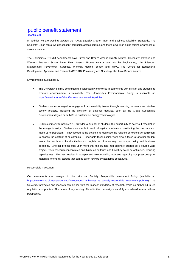#### (continued)

In addition we are working towards the RACE Equality Charter Mark and Business Disability Standards. The Students' Union ran a 'we get consent' campaign across campus and there is work on going raising awareness of sexual violence.

The University's STEMM departments have Silver and Bronze Athena SWAN Awards, Chemistry, Physics and Warwick Business School have Silver Awards, Bronze Awards are held by Engineering, Life Sciences, Mathematics, Psychology, Statistics, Warwick Medical School and WMG. The Centre for Educational Development, Appraisal and Research (CEDAR), Philosophy and Sociology also have Bronze Awards.

#### Environmental Sustainability

- The University is firmly committed to sustainability and works in partnership with its staff and students to promote environmental sustainability. The University's Environmental Policy is available at: https://warwick.ac.uk/about/environment/warwick/policies
- Students are encouraged to engage with sustainability issues through teaching, research and student society projects, including the provision of optional modules, such as the Global Sustainable Development degree or an MSc in Sustainable Energy Technologies.
- URSS summer internships 2018 provided a number of students the opportunity to carry out research in the energy industry. Students were able to work alongside academics considering the structure and make up of petroleum. They looked at the potential to decrease the reliance on expensive equipment to assess the content of oil samples. Renewable technologies were also a focus of another student researcher on how cultural attitudes and legislature of a country can shape policy and business decisions. Another project built upon work that the student had originally started as a course work project. Their research concentrated on lithium-ion batteries and how they could be optimised, reducing capacity loss. This has resulted in a paper and new modelling activities regarding computer design of materials for energy storage that can be taken forward by academic colleagues.

#### Responsible Investment

Our investments are managed in line with our Socially Responsible Investment Policy (available at: https://warwick.ac.uk/newsandevents/news/council\_enhances\_its\_socially\_responsible\_investment\_policy1/). The University promotes and monitors compliance with the highest standards of research ethics as embodied in UK regulation and practice. The nature of any funding offered to the University is carefully considered from an ethical perspective.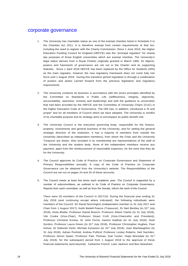## corporate governance

- 1. The University has charitable status as one of the exempt charities listed in Schedule 3 to the Charities Act 2011. It is therefore exempt from certain requirements of that Act, including the need to register with the Charity Commission. Since 1 June 2010, the Higher Education Funding Council for England (HEFCE) was the "principal regulator" for charity law purposes of those English universities which are exempt charities. The University's legal status derives from a Royal Charter originally granted in March 1965. Its objects, powers and framework of governance are set out in the Charter and its supporting Statutes. Since 1 April 2018 HEFCE has been replaced by the Office for Students (OfS) as the main regulator, however the new regulatory framework does not come fully into force until 1 August 2019. During this transition period regulation is through a combination of powers and duties carried forward from the previous legislation and regulatory requirements.
- 2. The University conducts its business in accordance with the seven principles identified by the Committee on Standards in Public Life (selflessness, integrity, objectivity, accountability, openness, honesty and leadership) and with the guidance to universities that had been provided by the HEFCE and the Committee of University Chairs (CUC) in the Higher Education Code of Governance. The OfS has, in addition, introduced a 'fit and proper' test for all members of Council which we have adopted. The University is mindful of its charitable purpose and its strategy aims to encompass its public benefit role.
- 3. The University Council is the executive governing body, responsible for the finance, property, investments and general business of the University, and for setting the general strategic direction of the institution. It has a majority of members from outside the University (described as independent members), from whom the Chair and the University Treasurer are drawn. Also included in its membership are representatives of the staff of the University and the student body. None of the independent members receive any payment, apart from the reimbursement of reasonable expenses, for the work that they do for the University.
- 4. The Council approves its Code of Practice on Corporate Governance and Statement of Primary Responsibilities annually. A copy of the Code of Practice on Corporate Governance can be obtained from the University's website. The Responsibilities of the Council are set out on pages 24 and 25 of these accounts.
- 5. The Council meets at least five times each academic year. The Council is supported by a number of subcommittees, as outlined in its Code of Practice on Corporate Governance. Reports from each committee, as well as from the Senate, inform the work of the Council.

There were 26 members of the Council in 2017/18. During the financial year ending 31 July 2018 (and continuing except where indicated), the following individuals were members of the Council: Sir David Normington (independent member to 31 July 2017 and Chair from 1 August 2017), Keith Bedell-Pearce (Treasurer), Dr Neil Bentley (to 31st July 2018), Anita Bhalla, Professor Daniel Branch, Professor Aileen Clarke (to 31 July 2018), Viki Cooke (Vice-Chair), Professor Stuart Croft (Vice-Chancellor and President), Professor Christine Ennew, Dr John Ferrie, Kamini Gadhok (to 31 July 2018), Noel Gordon, Professor Laura Green (to 31st July 2018), Professor Christopher Hughes, Paul Kehoe, Dr Deborah Keith, Michael Kynaston (to 31st July 2018), Joan MacNaughton (to 31 July 2018), Adrian Penfold, Andrea Pulford, Professor Lesley Roberts, Neil Sachdev, Professor Simon Swain, Professor Pam Thomas, Gail Tucker, Hope Worsdale (to 31<sup>st</sup> July 2018); for the subsequent period from 1 August 2018 to the approval of these financial statements (and beyond): Catharine French, Liam Jackson and Ben Newsham.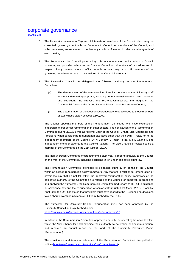## corporate governance

(continued)

- 7. The University maintains a Register of Interests of members of the Council which may be consulted by arrangement with the Secretary to Council. All members of the Council, and sub-committees, are requested to declare any conflicts of interest in relation to the agenda of each meeting.
- 8. The Secretary to the Council plays a key role in the operation and conduct of Council business, and provides advice to the Chair of Council on all matters of procedure and in respect of any matters where conflict, potential or real, may occur. All members of the governing body have access to the services of the Council Secretariat.
- The University Council has delegated the following authority to the Remuneration Committee:
	- (a) The determination of the remuneration of senior members of the University staff whom it is deemed appropriate, including but not exclusive to the Vice-Chancellor and President, the Provost, the Pro-Vice-Chancellors, the Registrar, the Commercial Director, the Group Finance Director and Secretary to Council;
	- (b) The determination of the level of severance pay to be awarded to those members of staff whose salary exceeds £100,000.

The Council appoints members of the Remuneration Committee who have expertise in leadership and/or senior remuneration in other sectors. The constitution of the Remuneration Committee during 2017/18 was as follows: Chair of the Council (Chair), Vice-Chancellor and President (when considering remuneration packages other than their own), Treasurer, three independent members of the Council (Dr N Bentley, Dr John Ferrie, Ms K Gadhok), one independent member external to the Council (vacant). The Vice Chancellor ceased to be a member of the Committee on the 18th October 2017.

The Remuneration Committee meets four times each year. It reports annually to the Council on the work of the Committee, including decisions taken under delegated authority.

The Remuneration Committee exercises its delegated authority on behalf of the Council within an agreed remuneration policy framework. Any matters in relation to remuneration or severance pay that do not fall within the approved remuneration policy framework or the delegated authority of the Committee are referred to the Council for approval. In proposing and applying the framework, the Remuneration Committee had regard to HEFCE's guidance on severance pay and the remuneration of senior staff up until 31st March 2018. From 1st April 2018 the OfS has stated that providers must have regard to the 'Guidance on decisions taken about severance payments in HEIs' published by the CUC.

The framework for University Senior Remuneration 2018 has been approved by the University Council and is published online: https://warwick.ac.uk/services/gov/committees/rc/rcframework18

In addition, the Remuneration Committee approves annually the operating framework within which the Vice-Chancellor shall exercise their authority to determine senior remuneration, and receives an annual report on the work of the University Executive Board (Remuneration).

The constitution and terms of reference of the Remuneration Committee are published online (http://www2.warwick.ac.uk/services/gov/committees/rc/).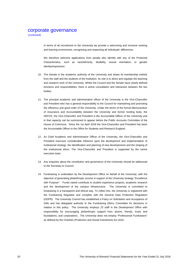## corporate governance

(continued)

In terms of all recruitment to the University we provide a welcoming and inclusive working and learning environment, recognising and respecting all individuals' differences.

We therefore welcome applications from people who identify with any of the Protected Characteristics, such as race/ethnicity, disability, sexual orientation, or gender identity/expression.

- 10. The Senate is the academic authority of the University and draws its membership entirely from the staff and the students of the institution. Its role is to direct and regulate the teaching and research work of the University. Whilst the Council and the Senate have clearly defined functions and responsibilities, there is active consultation and interaction between the two bodies.
- 11. The principal academic and administrative officer of the University is the Vice-Chancellor and President who has a general responsibility to the Council for maintaining and promoting the efficiency and good order of the University. Under the terms of the formal Memorandum of Assurance and Accountability between the University and former funding body, the HEFCE, the Vice-Chancellor and President is the Accountable Officer of the University and in that capacity can be summoned to appear before the Public Accounts Committee of the House of Commons. Since the 1st April 2018 the Vice-Chancellor and President has been the Accountable Officer to the Office for Students and Research England.
- 12. As Chief Academic and Administrative Officer of the University, the Vice-Chancellor and President exercises considerable influence upon the development and implementation of institutional strategy, the identification and planning of new developments and the shaping of the institutional ethos. The Vice-Chancellor and President is supported by the senior executive team.
- 13. Any enquiries about the constitution and governance of the University should be addressed to the Secretary to Council.
- 14. Fundraising is undertaken by the Development Office on behalf of the University, with the objective of generating philanthropic income in support of the University strategy "Excellence with Purpose". Funds raised contribute to student experience projects, academic research and the development of the campus infrastructure. The University is committed to fundraising in a transparent and ethical way. To reflect this, the University is registered with the Fundraising Regulator and complies with the General Data Protection Regulation (GDPR). The University Council has established a Policy on Solicitation and Acceptance of Gifts and has delegated authority to the Fundraising Ethics Committee for decisions in relation to this policy. The University employs 23 staff in the Development Office with responsibility for encouraging philanthropic support from alumni, friends, trusts and foundations, and corporations. The University does not employ "Professional Fundraisers" as defined by the Charities (Protection and Social Investment) Act 2016.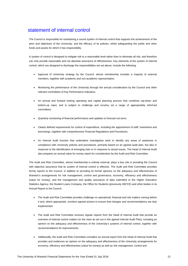# statement of internal control

The Council is responsible for maintaining a sound system of internal control that supports the achievement of the aims and objectives of the University, and the efficacy of its policies, whilst safeguarding the public and other funds and assets for which it has responsibility.

A system of control is designed to mitigate risk to a reasonable level rather than to eliminate all risk, and therefore can only provide reasonable and not absolute assurance of effectiveness. Key elements of the system of internal control, which are designed to discharge the responsibilities set out above, include the following:

- Approval of University strategy by the Council, whose membership includes a majority of external members, together with academic and non-academic representation.
- Monitoring the performance of the University through the annual consideration by the Council and other relevant committees of Key Performance Indicators.
- An annual and forward looking operating and capital planning process that combines top-down and bottom-up input, and is subject to challenge and scrutiny via a range of appropriately informed committees.
- Quarterly monitoring of financial performance and updates to forecast out-turns.
- Clearly defined requirements for control of expenditure, including the appointment of staff, investment and borrowings, together with comprehensive Financial Regulations and Procedures.
- An Internal Audit function that undertakes investigative work to identify any areas of weakness in compliance with University policies and procedures, primarily based on an agreed audit plan, but also in response to the identification of emerging risks or in response to actual issues. The Head of Internal Audit also prepares an annual value for money report for consideration by the Audit and Risk Committee.

The Audit and Risk Committee, whose membership is entirely external, plays a key role in providing the Council with objective assurance that its system of internal control is effective. The Audit and Risk Committee provides termly reports to the Council, in addition to providing its formal opinions on the adequacy and effectiveness of Warwick's arrangements for risk management, control and governance, economy, efficiency and effectiveness (value for money), and the management and quality assurance of data submitted to the Higher Education Statistics Agency, the Student Loans Company, the Office for Students (previously HEFCE) and other bodies in its Annual Report to the Council.

- The Audit and Risk Committee provides challenge on operational, financial and risk matters coming before it and, where appropriate, monitors agreed actions to ensure that changes and recommendations are duly implemented.
- The Audit and Risk Committee receives regular reports from the Head of Internal Audit that provide an overview of internal control matters (in the main as set out in the agreed Internal Audit Plan), including an opinion on the adequacy and effectiveness of the University's systems of internal control, together with recommendations for improvements.
- Additionally, the Audit and Risk Committee considers an annual report from the Head of Internal Audit that provides and evidences an opinion on the adequacy and effectiveness of the University arrangements for economy, efficiency and effectiveness (value for money) as well as risk management, control and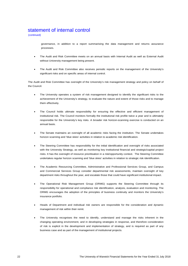## statement of internal control

(continued)

governance, in addition to a report summarising the data management and returns assurance processes.

- The Audit and Risk Committee meets on an annual basis with Internal Audit as well as External Audit without University management being present.
- The Audit and Risk Committee also receives periodic reports on the management of the University's significant risks and on specific areas of internal control.

The Audit and Risk Committee has oversight of the University's risk management strategy and policy on behalf of the Council.

- The University operates a system of risk management designed to identify the significant risks to the achievement of the University's strategy, to evaluate the nature and extent of those risks and to manage them effectively.
- The Council holds ultimate responsibility for ensuring the effective and efficient management of institutional risk. The Council monitors formally the institutional risk profile twice a year and is ultimately responsible for the University's key risks. A broader risk horizon-scanning exercise is conducted on an annual basis.
- The Senate maintains an oversight of all academic risks facing the institution. The Senate undertakes horizon scanning and 'blue skies' activities in relation to academic risk identification.
- The Steering Committee has responsibility for the initial identification and oversight of risks associated with the University Strategy, as well as monitoring key institutional financial and strategic/capital project risks. It has the oversight of resource prioritisation in a risk/opportunity context. The Steering Committee undertakes regular horizon scanning and 'blue skies' activities in relation to strategic risk identification.
- The Academic Resourcing Committee, Administrative and Professional Services Group, and Campus and Commercial Services Group consider departmental risk assessments, maintain oversight of key department risks throughout the year, and escalate those that could have significant institutional impact.
- The Operational Risk Management Group (ORMG) supports the Steering Committee through its responsibility for operational and compliance risk identification, analysis, evaluation and monitoring. The ORMG encourages the adoption of the principles of business continuity and monitors the University's insurance portfolio.
- Heads of Department and individual risk owners are responsible for the consideration and dynamic management of risk within their remit.
- The University recognises the need to identify, understand and manage the risks inherent in the changing operating environment, and in developing strategies in response, and therefore consideration of risk is explicit in the development and implementation of strategy, and is required as part of any business case and as part of the management of institutional projects.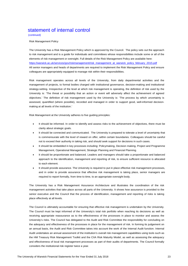# statement of internal control

(continued)

Risk Management Policy

The University has a Risk Management Policy which is approved by the Council. The policy sets out the approach to risk management and is a guide for individuals and committees whose responsibilities include some or all of the elements of risk management or oversight. Full details of the Risk Management Policy are available here: https://warwick.ac.uk/services/gov/riskmanagement/risk\_management\_at\_warwick\_policy\_february\_2015.pdf All senior managers and heads of departments are required to implement the Risk Management Policy and ensure colleagues are appropriately equipped to manage risk within their responsibilities.

Risk management operates across all levels of the University, from daily departmental activities and the management of projects, to formal bodies charged with institutional governance, decision-making and institutional strategy-setting. Irrespective of the level at which risk management is operating, the definition of risk used by the University is: 'The threat or possibility that an action or event will adversely affect the achievement of agreed objectives.' The definition of risk management used by the University is: 'The process by which uncertainty is assessed, quantified (where possible), recorded and managed in order to support good, well-informed decisionmaking at all levels of the institution.'

Risk Management at the University adheres to five guiding principles:

- It should be informed. In order to identify and assess risks to the achievement of objectives, there must be clarity about strategic goals.
- It should be connected and communicated. The University is prepared to tolerate a level of uncertainty that is commensurate with the level of reward on offer, within certain boundaries. Colleagues should be careful not to exceed their authority in taking risk, and should seek support for decisions in such cases.
- It should be embedded in key processes including: Policymaking, Decision making, Project and Programme Management, Operational Management, Strategic Planning and Financial Planning.
- It should be proportionate and balanced. Leaders and managers should take a proportionate and balanced approach to the identification, management and reporting of risk, to ensure sufficient resource is allocated to each element.
- It should provide assurance. The University is required to put in place effective risk management processes, and in order to provide assurance that effective risk management is taking place, senior managers are required to report formally, from time to time, to an appropriate oversight body.

The University has a Risk Management Assurance Architecture and illustrates the coordination of the risk management activities that take place across all parts of the University. It shows how assurance is provided to the senior executive and the Council that the process of identification, management and reporting of risks is taking place effectively at all levels.

The Council is ultimately accountable for ensuring that effective risk management is undertaken by the University. The Council must be kept informed of the University's total risk portfolio when reaching its decisions as well as receiving appropriate reassurance as to the effectiveness of the processes in place to monitor and assess the University's risks. The Council has delegated to the Audit and Risk Committee the responsibility for concluding on the adequacy and effectiveness of the processes in place for the management of risk. In forming its judgement on an annual basis, the Audit and Risk Committee takes into account the work of the Internal Audit function. Internal Audit undertakes an annual assessment of the institution's overall risk management capabilities using tools such as the HM Treasury Risk Management Toolkit and the CIIA Risk Maturity Model, as well as assessing the adequacy and effectiveness of local risk management processes as part of their audits of departments. The Council formally considers the institutional risk register twice a year.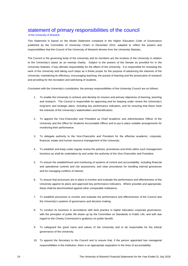## statement of primary responsibilities of the council

#### of the University of Warwick

This Statement is based on the Model Statement contained in the Higher Education Code of Governance published by the Committee of University Chairs in December 2014, adapted to reflect the powers and responsibilities that the Council of the University of Warwick derives from the University Statutes.

The Council is the governing body of the University and its members are the trustees of the University in relation to the University's status as an exempt charity. Subject to the powers of the Senate as provided for in the University Statutes, it has ultimate responsibility for the affairs of the University. It is responsible for reviewing the work of the University and taking such steps as it thinks proper for the purpose of advancing the interests of the University, maintaining its efficiency, encouraging teaching, the pursuit of learning and the prosecution of research and providing for the recreation and well-being of students.

Consistent with the University's constitution, the primary responsibilities of the University Council are as follows:

- 1. To enable the University to achieve and develop its mission and primary objectives of learning, teaching and research. The Council is responsible for approving and for keeping under review the University's long-term and strategic plans, including key performance indicators, and for ensuring that these meet the interests of the University's stakeholders and beneficiaries.
- 2. To appoint the Vice-Chancellor and President as Chief Academic and Administrative Officer of the University and the Office for Students Accountable Officer and to put in place suitable arrangements for monitoring their performance.
- 3. To delegate authority to the Vice-Chancellor and President for the effective academic, corporate, financial, estate and human resource management of the University.
- 4. To establish and keep under regular review the policies, procedures and limits within such management functions as shall be undertaken by and under the authority of the Vice-Chancellor and President.
- 5. To ensure the establishment and monitoring of systems of control and accountability, including financial and operational controls and risk assessment, and clear procedures for handling internal grievances and for managing conflicts of interest.
- 6. To ensure that processes are in place to monitor and evaluate the performance and effectiveness of the University against its plans and approved key performance indicators. Where possible and appropriate, these shall be benchmarked against other comparable institutions.
- 7. To establish processes to monitor and evaluate the performance and effectiveness of the Council and the University's systems of governance and decision making.
- 8. To conduct its business in accordance with best practice in higher education corporate governance, with the principles of public life drawn up by the Committee on Standards in Public Life, and with due regard to the Charity Commission's guidance on public benefit.
- 9. To safeguard the good name and values of the University and to be responsible for the ethical governance of the University.
- 10. To appoint the Secretary to the Council and to ensure that, if the person appointed has managerial responsibilities in the institution, there is an appropriate separation in the lines of accountability.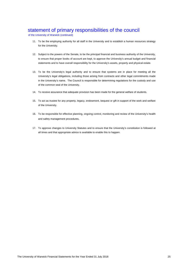# statement of primary responsibilities of the council

of the University of Warwick (continued)

- 11. To be the employing authority for all staff in the University and to establish a human resources strategy for the University.
- 12. Subject to the powers of the Senate, to be the principal financial and business authority of the University, to ensure that proper books of account are kept, to approve the University's annual budget and financial statements and to have overall responsibility for the University's assets, property and physical estate.
- 13. To be the University's legal authority and to ensure that systems are in place for meeting all the University's legal obligations, including those arising from contracts and other legal commitments made in the University's name. The Council is responsible for determining regulations for the custody and use of the common seal of the University.
- 14. To receive assurance that adequate provision has been made for the general welfare of students.
- 15. To act as trustee for any property, legacy, endowment, bequest or gift in support of the work and welfare of the University.
- 16. To be responsible for effective planning, ongoing control, monitoring and review of the University's health and safety management procedures.
- 17. To approve changes to University Statutes and to ensure that the University's constitution is followed at all times and that appropriate advice is available to enable this to happen.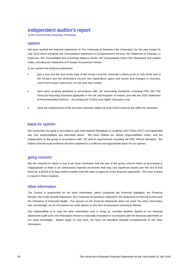## independent auditor's report

to the Council of the University of Warwick

## opinion

We have audited the financial statements of The University of Warwick ("the University") for the year ended 31 July 2018 which comprise the Consolidated Statement of Comprehensive Income, the Statement of Changes in Reserves, the Consolidated and University Balance Sheet, the Consolidated Cash Flow Statement and related notes, including the Statement of Principal Accounting Policies.

In our opinion the financial statements:

- give a true and fair view of the state of the Group's and the University's affairs as at 31 July 2018, and of the Group's and the University's income and expenditure, gains and losses and changes in reserves, and of the Group's cash flows, for the year then ended;
- have been properly prepared in accordance with UK accounting standards, including FRS 102 The Financial Reporting Standard applicable in the UK and Republic of Ireland, and with the 2015 Statement of Recommended Practice – Accounting for Further and Higher Education; and
- meet the requirements of the Accounts Direction dated 19 June 2018 issued by the Office for Students.

## basis for opinion

We conducted our audit in accordance with International Standards on Auditing (UK) ("ISAs (UK)") and applicable law. Our responsibilities are described below. We have fulfilled our ethical responsibilities under, and are independent of the group in accordance with, UK ethical requirements including the FRC Ethical Standard. We believe that the audit evidence we have obtained is a sufficient and appropriate basis for our opinion.

## going concern

We are required to report to you if we have concluded that the use of the going concern basis of accounting is inappropriate or there is an undisclosed material uncertainty that may cast significant doubt over the use of that basis for a period of at least twelve months from the date of approval of the financial statements. We have nothing to report in these respects.

## other information

The Council is responsible for the other information, which comprises the Financial Highlights, the Financial Review, the Public Benefit Statement, the Corporate Governance Statement, the Statement of Internal Control and the Indicators of Financial Health. Our opinion on the financial statements does not cover the other information and, accordingly, we do not express an audit opinion or any form of assurance conclusion thereon.

Our responsibility is to read the other information and, in doing so, consider whether, based on our financial statements audit work, the information therein is materially misstated or inconsistent with the financial statements or our audit knowledge. Based solely on that work, we have not identified material misstatements in the other information.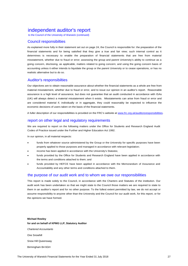# independent auditor's report

to the Council of the University of Warwick (continued)

## Council responsibilties

As explained more fully in their statement set out on page 24, the Council is responsible for: the preparation of the financial statements and for being satisfied that they give a true and fair view; such internal control as it determines is necessary to enable the preparation of financial statements that are free from material misstatement, whether due to fraud or error; assessing the group and parent University's ability to continue as a going concern, disclosing, as applicable, matters related to going concern; and using the going concern basis of accounting unless it either intends to liquidate the group or the parent University or to cease operations, or has no realistic alternative but to do so.

## Auditor's responsibilties

Our objectives are to obtain reasonable assurance about whether the financial statements as a whole are free from material misstatement, whether due to fraud or error, and to issue our opinion in an auditor's report. Reasonable assurance is a high level of assurance, but does not guarantee that an audit conducted in accordance with ISAs (UK) will always detect a material misstatement when it exists. Misstatements can arise from fraud or error and are considered material if, individually or in aggregate, they could reasonably be expected to influence the economic decisions of users taken on the basis of the financial statements.

A fuller description of our responsibilities is provided on the FRC's website at www.frc.org.uk/auditorsresponsibilities.

## report on other legal and regulatory requirements

We are required to report on the following matters under the Office for Students and Research England Audit Codes of Practice issued under the Further and Higher Education Act 1992.

In our opinion, in all material respects:

- funds from whatever source administered by the Group or the University for specific purposes have been properly applied to those purposes and managed in accordance with relevant legislation;
- income has been applied in accordance with the University's Statutes;
- funds provided by the Office for Students and Research England have been applied in accordance with the terms and conditions attached to them; and
- funds provided by HEFCE have been applied in accordance with the Memorandum of Assurance and Accountability and any other terms and conditions attached to them.

## the purpose of our audit work and to whom we owe our responsibilities

This report is made solely to the Council, in accordance with the Charters and Statutes of the institution. Our audit work has been undertaken so that we might state to the Council those matters we are required to state to them in an auditor's report and for no other purpose. To the fullest extent permitted by law, we do not accept or assume responsibility to anyone other than the University and the Council for our audit work, for this report, or for the opinions we have formed.

## **Michael Rowley for and on behalf of KPMG LLP, Statutory Auditor**  *Chartered Accountants*  One Snowhill Snow Hill Queensway Birmingham B4 6GH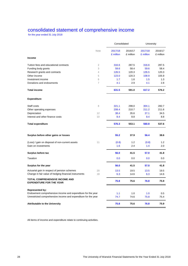## consolidated statement of comprehensive income

for the year ended 31 July 2018

|                                                                          |                | Consolidated         |                      | University           |                      |
|--------------------------------------------------------------------------|----------------|----------------------|----------------------|----------------------|----------------------|
|                                                                          | Note           | 2017/18<br>£ million | 2016/17<br>£ million | 2017/18<br>£ million | 2016/17<br>£ million |
| <b>Income</b>                                                            |                |                      |                      |                      |                      |
| Tuition fees and educational contracts                                   | $\overline{2}$ | 316.6                | 287.5                | 316.6                | 287.5                |
| Funding body grants                                                      | 3              | 59.6                 | 58.4                 | 59.6                 | 58.4                 |
| Research grants and contracts                                            | $\overline{4}$ | 126.5                | 120.3                | 126.5                | 120.3                |
| Other income                                                             | 5              | 123.0                | 120.3                | 108.9                | 105.9                |
| Investment income                                                        | 6              | 1.7                  | 1.6                  | 1.5                  | 1.3                  |
| Donations and endowments                                                 | 7              | 4.1                  | 2.9                  | 4.1                  | 2.8                  |
| <b>Total income</b>                                                      |                | 631.5                | 591.0                | 617.2                | 576.2                |
| <b>Expenditure</b>                                                       |                |                      |                      |                      |                      |
| Staff costs                                                              | 8              | 321.1                | 298.0                | 304.1                | 282.7                |
| Other operating expenses                                                 |                | 208.4                | 210.7                | 211.2                | 211.6                |
| Depreciation                                                             | 12             | 38.4                 | 35.6                 | 37.1                 | 34.5                 |
| Interest and other finance costs                                         | 10             | 8.4                  | 8.8                  | 8.4                  | 8.8                  |
| <b>Total expenditure</b>                                                 |                | 576.3                | 553.1                | 560.8                | 537.6                |
| Surplus before other gains or losses                                     |                | 55.2                 | 37.9                 | 56.4                 | 38.6                 |
| (Loss) / gain on disposal of non-current assets                          | 11             | (0.8)                | 1.2                  | (0.8)                | 1.2                  |
| Gain on investments                                                      |                | 1.6                  | 2.4                  | 1.4                  | 2.0                  |
| Surplus before tax                                                       |                | 56.0                 | 41.5                 | 57.0                 | 41.8                 |
| Taxation                                                                 |                | 0.0                  | 0.0                  | 0.0                  | 0.0                  |
| Surplus for the year                                                     |                | 56.0                 | 41.5                 | 57.0                 | 41.8                 |
| Actuarial gain in respect of pension schemes                             | 20             | 13.5                 | 19.5                 | 13.5                 | 19.5                 |
| Change in fair value of hedging financial instruments                    | 18             | 6.3                  | 14.6                 | 6.3                  | 14.6                 |
| <b>TOTAL COMPREHENSIVE INCOME AND</b><br><b>EXPENDITURE FOR THE YEAR</b> |                | 75.8                 | 75.6                 | 76.8                 | 75.9                 |
| <b>Represented by:</b>                                                   |                |                      |                      |                      |                      |
| Endowment comprehensive income and expenditure for the year              |                | 1.1                  | 1.0                  | 1.0                  | 0.5                  |
| Unrestricted comprehensive income and expenditure for the year           |                | 74.7                 | 74.6                 | 75.8                 | 75.4                 |
| <b>Attributable to the University</b>                                    |                | 75.8                 | 75.6                 | 76.8                 | 75.9                 |

All items of income and expenditure relate to continuing activities.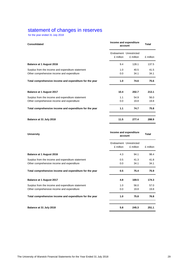## statement of changes in reserves

for the year ended 31 July 2018

| <b>Consolidated</b>                                     | Income and expenditure<br>account | <b>Total</b>                        |           |  |
|---------------------------------------------------------|-----------------------------------|-------------------------------------|-----------|--|
|                                                         | £ million                         | Endowment Unrestricted<br>£ million | £ million |  |
| <b>Balance at 1 August 2016</b>                         | 9.4                               | 128.1                               | 137.5     |  |
| Surplus from the income and expenditure statement       | 1.0                               | 40.5                                | 41.5      |  |
| Other comprehensive income and expenditure              | 0.0                               | 34.1                                | 34.1      |  |
| Total comprehensive income and expenditure for the year | 1.0<br>74.6                       |                                     | 75.6      |  |
| Balance at 1 August 2017                                | 10.4                              | 202.7                               | 213.1     |  |
| Surplus from the income and expenditure statement       | 1.1                               | 54.9                                | 56.0      |  |
| Other comprehensive income and expenditure              | 0.0                               | 19.8                                | 19.8      |  |
| Total comprehensive income and expenditure for the year | 1.1                               | 74.7                                | 75.8      |  |
| Balance at 31 July 2018                                 | 11.5                              | 277.4                               | 288.9     |  |

| <b>University</b>                                       | Income and expenditure<br>account | <b>Total</b>                        |           |
|---------------------------------------------------------|-----------------------------------|-------------------------------------|-----------|
|                                                         | £ million                         | Endowment Unrestricted<br>£ million | £ million |
| Balance at 1 August 2016                                | 4.3                               | 94.1                                | 98.4      |
| Surplus from the income and expenditure statement       | 0.5                               | 41.3                                | 41.8      |
| Other comprehensive income and expenditure              | 0.0                               | 34.1                                | 34.1      |
| Total comprehensive income and expenditure for the year | 0.5                               | 75.4                                | 75.9      |
| Balance at 1 August 2017                                | 4.8                               | 169.5                               | 174.3     |
| Surplus from the income and expenditure statement       | 1.0                               | 56.0                                | 57.0      |
| Other comprehensive income and expenditure              | 0.0                               | 19.8                                | 19.8      |
| Total comprehensive income and expenditure for the year | 1.0                               | 75.8                                | 76.8      |
| Balance at 31 July 2018                                 | 5.8                               | 245.3                               | 251.1     |
|                                                         |                                   |                                     |           |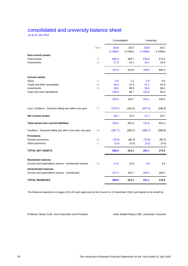# consolidated and university balance sheet

as at 31 July 2018

|                                                                                  |      | Consolidated      |                   | University        |                   |  |
|----------------------------------------------------------------------------------|------|-------------------|-------------------|-------------------|-------------------|--|
|                                                                                  | Note | 2018<br>£ million | 2017<br>£ million | 2018<br>£ million | 2017<br>£ million |  |
| <b>Non-current assets</b>                                                        |      |                   |                   |                   |                   |  |
| <b>Fixed assets</b>                                                              | 12   | 695.0             | 590.7             | 679.8             | 574.4             |  |
| Investments                                                                      | 13   | 27.3              | 24.1              | 29.1              | 25.9              |  |
|                                                                                  |      | 722.3             | 614.8             | 708.9             | 600.3             |  |
| <b>Current assets</b>                                                            |      |                   |                   |                   |                   |  |
| <b>Stock</b>                                                                     | 14   | 0.9               | 1.1               | 0.8               | 0.6               |  |
| Trade and other receivables                                                      | 15   | 50.8              | 47.9              | 57.2              | 54.9              |  |
| Investments                                                                      | 16   | 38.5              | 89.0              | 38.5              | 89.0              |  |
| Cash and cash equivalents                                                        |      | 126.6             | 98.7              | 123.6             | 95.0              |  |
|                                                                                  |      | 216.8             | 236.7             | 220.1             | 239.5             |  |
| Less: Creditors : Amounts falling due within one year                            | 17   | (178.7)           | (160.5)           | (207.4)           | (188.8)           |  |
| <b>Net current assets</b>                                                        |      | 38.1              | 76.2              | 12.7              | 50.7              |  |
| <b>Total assets less current liabilities</b>                                     |      | 760.4             | 691.0             | 721.6             | 651.0             |  |
| Creditors: Amounts falling due after more than one year                          | 18   | (397.7)           | (389.2)           | (396.7)           | (388.0)           |  |
| <b>Provisions</b>                                                                |      |                   |                   |                   |                   |  |
| Pension provisions                                                               | 20   | (70.6)            | (85.3)            | (70.6)            | (85.3)            |  |
| Other provisions                                                                 | 21   | (3.2)             | (3.4)             | (3.2)             | (3.4)             |  |
| <b>TOTAL NET ASSETS</b>                                                          |      | 288.9             | 213.1             | 251.1             | 174.3             |  |
| <b>Restricted reserves</b><br>Income and expenditure reserve - endowment reserve | 22   | 11.5              | 10.4              | 5.8               | 4.8               |  |
| <b>Unrestricted reserves</b>                                                     |      |                   |                   |                   |                   |  |
| Income and expenditure reserve - unrestricted                                    |      | 277.4             | 202.7             | 245.3             | 169.5             |  |
| <b>TOTAL RESERVES</b>                                                            |      | 288.9             | 213.1             | 251.1             | 174.3             |  |

The financial statements on pages 28 to 63 were approved by the Council on 21 November 2018, and signed on its behalf by:

Professor Stuart Croft, Vice-Chancellor and President Keith Bedell-Pearce CBE, University Treasurer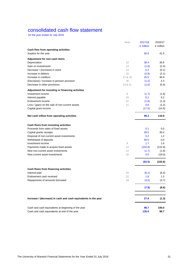# consolidated cash flow statement

for the year ended 31 July 2018

|                                                                | Note    | 2017/18   | 2016/17          |
|----------------------------------------------------------------|---------|-----------|------------------|
|                                                                |         | £ million | £ million        |
| Cash flow from operating activities                            |         |           |                  |
| Surplus for the year                                           |         | 56.0      | 41.5             |
| Adjustment for non-cash items                                  |         |           |                  |
| Depreciation                                                   | 12      | 38.4      | 35.6             |
| Gain on investments                                            | 13      | (1.6)     | (2.4)            |
| Decrease / (increase) in stock                                 | 14      | 0.2       | (0.1)            |
| Increase in debtors                                            | 15      | (2.9)     | (2.1)            |
| Increase in creditors                                          | 17 & 18 | 25.5      | 46.9             |
| (Decrease) / increase in pension provision                     | 20      | (1.2)     | 4.3              |
| Decrease in other provisions                                   | 13 & 21 | (1.0)     | (0.4)            |
| Adjustment for investing or financing activities               |         |           |                  |
| Investment income                                              | 6       | (1.7)     | (1.6)            |
| Interest payable                                               | 10      | 6.1       | 6.2              |
| Endowment income                                               | 22      | (1.8)     | (1.3)            |
| Loss / (gain) on the sale of non-current assets                | 11      | 0.8       | (1.2)            |
| Capital grant income                                           |         | (17.5)    | (14.5)           |
| Net cash inflow from operating activities                      |         | 99.3      | 110.9            |
| Cash flows from investing activities                           |         |           |                  |
| Proceeds from sales of fixed assets                            |         | 0.1       | 0.0              |
| Capital grants receipts                                        |         | 28.5      | 30.4             |
| Disposal of non-current asset investments                      |         | 0.2       | 1.2 <sub>1</sub> |
| Withdrawal of deposits                                         |         | 50.5      | 0.0              |
| Investment income                                              | 6       | 1.7       | 1.6              |
| Payments made to acquire fixed assets                          | 12      | (142.8)   | (115.9)          |
| New non-current asset investments                              | 13      | (1.7)     | (1.9)            |
| New current asset investments                                  | 16      | 0.0       | (19.0)           |
|                                                                |         | (63.5)    | (103.6)          |
| Cash flows from financing activities                           |         |           |                  |
| Interest paid                                                  | 10      | (6.1)     | (6.2)            |
| Endowment cash received                                        | 22      | 1.8       | 1.3              |
| Repayments of amounts borrowed                                 | 19      | (3.6)     | (3.7)            |
|                                                                |         |           |                  |
|                                                                |         | (7.9)     | (8.6)            |
| Increase / (decrease) in cash and cash equivalents in the year |         | 27.9      | (1.3)            |
| Cash and cash equivalents at beginning of the year             |         | 98.7      | 100.0            |
| Cash and cash equivalents at end of the year                   |         | 126.6     | 98.7             |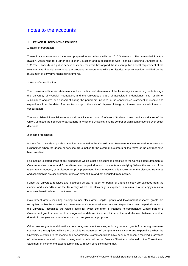#### **1. PRINCIPAL ACCOUNTING POLICIES**

#### 1. Basis of preparation

These financial statements have been prepared in accordance with the 2015 Statement of Recommended Practice (SORP): Accounting for Further and Higher Education and in accordance with Financial Reporting Standard (FRS) 102. The University is a public benefit entity and therefore has applied the relevant public benefit requirement of the FRS102. The financial statements are prepared in accordance with the historical cost convention modified by the revaluation of derivative financial instruments.

#### 2. Basis of consolidation

The consolidated financial statements include the financial statements of the University, its subsidiary undertakings, the University of Warwick Foundation, and the University's share of associated undertakings. The results of subsidiaries acquired or disposed of during the period are included in the consolidated statement of income and expenditure from the date of acquisition or up to the date of disposal. Intra-group transactions are eliminated on consolidation.

The consolidated financial statements do not include those of Warwick Students' Union and subsidiaries of the Union, as these are separate organisations in which the University has no control or significant influence over policy decisions.

#### 3. Income recognition

Income from the sale of goods or services is credited to the Consolidated Statement of Comprehensive Income and Expenditure when the goods or services are supplied to the external customers or the terms of the contract have been satisfied.

Fee income is stated gross of any expenditure which is not a discount and credited to the Consolidated Statement of Comprehensive Income and Expenditure over the period in which students are studying. Where the amount of the tuition fee is reduced, by a discount for prompt payment, income receivable is shown net of the discount. Bursaries and scholarships are accounted for gross as expenditure and not deducted from income.

Funds the University receives and disburses as paying agent on behalf of a funding body are excluded from the income and expenditure of the University where the University is exposed to minimal risk or enjoys minimal economic benefit related to the transaction.

Government grants including funding council block grant, capital grants and Government research grants are recognised within the Consolidated Statement of Comprehensive Income and Expenditure over the periods in which the University recognises the related costs for which the grant is intended to compensate. Where part of a Government grant is deferred it is recognised as deferred income within creditors and allocated between creditors due within one year and due after more than one year as appropriate.

Other revenue grants and donations from non-government sources, including research grants from non-government sources, are recognised within the Consolidated Statement of Comprehensive Income and Expenditure when the University is entitled to the income and performance related conditions have been met. Income received in advance of performance related conditions being met is deferred on the Balance Sheet and released to the Consolidated Statement of Income and Expenditure in line with such conditions being met.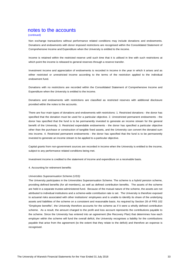#### (continued)

Non exchange transactions without performance related conditions may include donations and endowments. Donations and endowments with donor imposed restrictions are recognised within the Consolidated Statement of Comprehensive Income and Expenditure when the University is entitled to the income.

Income is retained within the restricted reserve until such time that it is utilised in line with such restrictions at which point the income is released to general reserves through a reserve transfer.

Investment income and appreciation of endowments is recorded in income in the year in which it arises and as either restricted or unrestricted income according to the terms of the restriction applied to the individual endowment fund.

Donations with no restrictions are recorded within the Consolidated Statement of Comprehensive Income and Expenditure when the University is entitled to the income.

Donations and endowments with restrictions are classified as restricted reserves with additional disclosure provided within the notes to the accounts.

There are four main types of donations and endowments with restrictions: 1. Restricted donations - the donor has specified that the donation must be used for a particular objective. 2. Unrestricted permanent endowments - the donor has specified that the fund is to be permanently invested to generate an income stream for the general benefit of the University. 3. Restricted expendable endowments - the donor has specified a particular objective other than the purchase or construction of tangible fixed assets, and the University can convert the donated sum into income. 4. Restricted permanent endowments - the donor has specified that the fund is to be permanently invested to generate an income stream to be applied to a particular objective.

Capital grants from non-government sources are recorded in income when the University is entitled to the income, subject to any performance related conditions being met.

Investment income is credited to the statement of income and expenditure on a receivable basis.

#### 4. Accounting for retirement benefits

#### *Universities Superannuation Scheme (USS)*

The University participates in the Universities Superannuation Scheme. The scheme is a hybrid pension scheme, providing defined benefits (for all members), as well as defined contribution benefits. The assets of the scheme are held in a separate trustee-administered fund. Because of the mutual nature of the scheme, the assets are not attributed to individual institutions and a scheme-wide contribution rate is set. The University is therefore exposed to actuarial risks associated with other institutions' employees and is unable to identify its share of the underlying assets and liabilities of the scheme on a consistent and reasonable basis. As required by Section 28 of FRS 102 "Employee benefits", the University therefore accounts for the scheme as if it were a wholly defined contribution scheme. As a result, the amount charged to the profit and loss account represents the contributions payable to the scheme. Since the University has entered into an agreement (the Recovery Plan) that determines how each employer within the scheme will fund the overall deficit, the University recognises a liability for the contributions payable that arise from the agreement (to the extent that they relate to the deficit) and therefore an expense is recognised.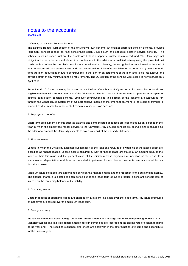(continued)

#### *University of Warwick Pension Scheme*

The Defined Benefit (DB) section of the University's own scheme, an exempt approved pension scheme, provides retirement benefits (based on final pensionable salary), lump sum and spouse's death-in-service benefits. The scheme is set up under trust and the assets are held in a separate trustee-administered fund. The University's net obligation for the scheme is calculated in accordance with the advice of a qualified actuary using the projected unit credit method. When the calculation results in a benefit to the University, the recognised asset is limited to the total of any unrecognised past service costs and the present value of benefits available in the form of any future refunds from the plan, reductions in future contributions to the plan or on settlement of the plan and takes into account the adverse effect of any minimum funding requirements. The DB section of the scheme was closed to new recruits on 1 April 2010.

From 1 April 2010 the University introduced a new Defined Contribution (DC) section to its own scheme, for those eligible members who are not members of the DB section. The DC section of the scheme is operated as a separate defined contribution pension scheme. Employer contributions to this section of the scheme are accounted for through the Consolidated Statement of Comprehensive Income at the time that payment to the external provider is accrued as due. A small number of staff remain in other pension schemes.

#### 5. Employment benefits

Short term employment benefits such as salaries and compensated absences are recognised as an expense in the year in which the employees render service to the University. Any unused benefits are accrued and measured as the additional amount the University expects to pay as a result of the unused entitlement.

#### 6. Finance leases

Leases in which the University assumes substantially all the risks and rewards of ownership of the leased asset are classified as finance leases. Leased assets acquired by way of finance lease are stated at an amount equal to the lower of their fair value and the present value of the minimum lease payments at inception of the lease, less accumulated depreciation and less accumulated impairment losses. Lease payments are accounted for as described below.

Minimum lease payments are apportioned between the finance charge and the reduction of the outstanding liability. The finance charge is allocated to each period during the lease term so as to produce a constant periodic rate of interest on the remaining balance of the liability.

#### 7. Operating leases

Costs in respect of operating leases are charged on a straight-line basis over the lease term. Any lease premiums or incentives are spread over the minimum lease term.

#### 8. Foreign currency

Transactions denominated in foreign currencies are recorded at the average rate of exchange ruling for each month. Monetary assets and liabilities denominated in foreign currencies are recorded at the closing rate of exchange ruling at the year end. The resulting exchange differences are dealt with in the determination of income and expenditure for the financial year.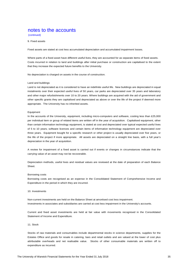(continued)

9. Fixed assets

Fixed assets are stated at cost less accumulated depreciation and accumulated impairment losses.

Where parts of a fixed asset have different useful lives, they are accounted for as separate items of fixed assets. Costs incurred in relation to land and buildings after initial purchase or construction are capitalised to the extent that they increase the expected future benefits to the University.

No depreciation is charged on assets in the course of construction.

#### Land and buildings

Land is not depreciated as it is considered to have an indefinite useful life. New buildings are depreciated in equal instalments over their expected useful lives of 50 years, car parks are depreciated over 35 years and laboratory and other major refurbishments over 10 to 20 years. Where buildings are acquired with the aid of government and other specific grants they are capitalised and depreciated as above or over the life of the project if deemed more appropriate. The University has no inherited assets.

#### Equipment

In the accounts of the University, equipment, including micro-computers and software, costing less than £25,000 per individual item or group of related items are written off in the year of acquisition. Capitalised equipment, other than certain information technology equipment, is stated at cost and depreciated over typical expected useful lives of 5 to 10 years; software licences and certain items of information technology equipment are depreciated over three years. Equipment bought for a specific research or other project is usually depreciated over five years, or the life of the project if more appropriate. All assets are depreciated on a straight line basis, with a full year's depreciation in the year of acquisition.

A review for impairment of a fixed asset is carried out if events or changes in circumstances indicate that the carrying value of an asset may not be recoverable.

Depreciation methods, useful lives and residual values are reviewed at the date of preparation of each Balance Sheet.

#### Borrowing costs

Borrowing costs are recognised as an expense in the Consolidated Statement of Comprehensive Income and Expenditure in the period in which they are incurred.

10. Investments

Non-current investments are held on the Balance Sheet at amortised cost less impairment. Investments in associates and subsidiaries are carried at cost less impairment in the University's accounts.

Current and fixed asset investments are held at fair value with movements recognised in the Consolidated Statement of Income and Expenditure.

#### 11. Stock

Stocks of raw materials and consumables include departmental stocks in science departments, supplies for the Estates Office and goods for resale in catering, bars and retail outlets and are valued at the lower of cost plus attributable overheads and net realisable value. Stocks of other consumable materials are written off to expenditure as incurred.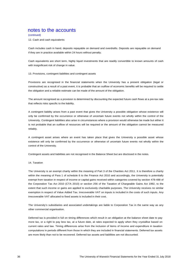(continued)

12. Cash and cash equivalents

Cash includes cash in hand, deposits repayable on demand and overdrafts. Deposits are repayable on demand if they are in practice available within 24 hours without penalty.

Cash equivalents are short term, highly liquid investments that are readily convertible to known amounts of cash with insignificant risk of change in value.

#### 13. Provisions, contingent liabilities and contingent assets

Provisions are recognised in the financial statements when the University has a present obligation (legal or constructive) as a result of a past event, it is probable that an outflow of economic benefits will be required to settle the obligation and a reliable estimate can be made of the amount of the obligation.

The amount recognised as a provision is determined by discounting the expected future cash flows at a pre-tax rate that reflects risks specific to the liability.

A contingent liability arises from a past event that gives the University a possible obligation whose existence will only be confirmed by the occurrence or otherwise of uncertain future events not wholly within the control of the University. Contingent liabilities also arise in circumstances where a provision would otherwise be made but either it is not probable that an outflow of resources will be required or the amount of the obligation cannot be measured reliably.

A contingent asset arises where an event has taken place that gives the University a possible asset whose existence will only be confirmed by the occurrence or otherwise of uncertain future events not wholly within the control of the University.

Contingent assets and liabilities are not recognised in the Balance Sheet but are disclosed in the notes.

14. Taxation

The University is an exempt charity within the meaning of Part 3 of the Charities Act 2011. It is therefore a charity within the meaning of Para 1 of schedule 6 to the Finance Act 2010 and accordingly, the University is potentially exempt from taxation in respect of income or capital gains received within categories covered by section 478-488 of the Corporation Tax Act 2010 (CTA 2010) or section 256 of the Taxation of Chargeable Gains Act 1992, to the extent that such income or gains are applied to exclusively charitable purposes. The University receives no similar exemption in respect of Value Added Tax. Irrecoverable VAT on inputs is included in the costs of such inputs. Any irrecoverable VAT allocated to fixed assets is included in their cost.

The University's subsidiaries and associated undertakings are liable to Corporation Tax in the same way as any other commercial organisation.

Deferred tax is provided in full on timing differences which result in an obligation at the balance sheet date to pay more tax, or a right to pay less tax, at a future date, at rates expected to apply when they crystallise based on current rates and law. Timing differences arise from the inclusion of items of income and expenditure in taxation computations in periods different from those in which they are included in financial statements. Deferred tax assets are more likely than not to be recovered. Deferred tax assets and liabilities are not discounted.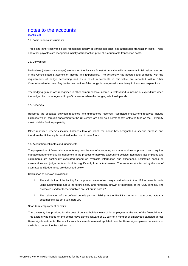#### (continued)

#### 15. Basic financial instruments

Trade and other receivables are recognised initially at transaction price less attributable transaction costs. Trade and other payables are recognised initially at transaction price plus attributable transaction costs.

#### 16. Derivatives

Derivatives (interest rate swaps) are held on the Balance Sheet at fair value with movements in fair value recorded in the Consolidated Statement of Income and Expenditure. The University has adopted and complied with the requirements of hedge accounting and as a result movements in fair value are recorded within Other Comprehensive Income. Any ineffective portion of the hedge is recognised immediately in income or expenditure.

The hedging gain or loss recognised in other comprehensive income is reclassified to income or expenditure when the hedged item is recognised in profit or loss or when the hedging relationship ends.

#### 17. Reserves

Reserves are allocated between restricted and unrestricted reserves. Restricted endowment reserves include balances which, through endowment to the University, are held as a permanently restricted fund as the University must hold the fund in perpetuity.

Other restricted reserves include balances through which the donor has designated a specific purpose and therefore the University is restricted in the use of these funds.

#### 18. Accounting estimates and judgements

The preparation of financial statements requires the use of accounting estimates and assumptions. It also requires management to exercise its judgement in the process of applying accounting policies. Estimates, assumptions and judgements are continually evaluated based on available information and experience. Estimates based on assumptions and judgements could differ significantly from actual results. The areas most affected by the use of estimates and judgements are described below.

Calculation of pension provisions:

- i. The calculation of the liability for the present value of recovery contributions to the USS scheme is made using assumptions about the future salary and numerical growth of members of the USS scheme. The estimates used for these variables are set out in note 27.
- ii. The calculation of the defined benefit pension liability in the UWPS scheme is made using actuarial assumptions, as set out in note 27.

#### Short-term employment benefits:

The University has provided for the cost of unused holiday leave of its employees at the end of the financial year. This accrual was based on the actual leave carried forward at 31 July of a number of employees sampled across University departments. The results from this sample were extrapolated over the University employee population as a whole to determine the total accrual.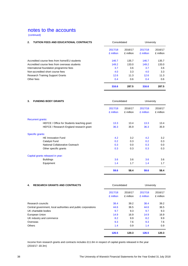(continued)

| <b>TUITION FEES AND EDUCATIONAL CONTRACTS</b><br>Consolidated |                      | University           |                      |                      |
|---------------------------------------------------------------|----------------------|----------------------|----------------------|----------------------|
|                                                               | 2017/18<br>£ million | 2016/17<br>£ million | 2017/18<br>£ million | 2016/17<br>£ million |
| Accredited course fees from home/EU students                  | 146.7                | 135.7                | 146.7                | 135.7                |
| Accredited course fees from overseas students                 | 149.2                | 133.0                | 149.2                | 133.0                |
| International foundation programme fees                       | 3.7                  | 3.6                  | 3.7                  | 3.6                  |
| Non-accredited short course fees                              | 4.0                  | 3.3                  | 4.0                  | 3.3                  |
| <b>Research Training Support Grants</b>                       | 12.6                 | 11.3                 | 12.6                 | 11.3                 |
| Other fees                                                    | 0.4                  | 0.6                  | 0.4                  | 0.6                  |
|                                                               | 316.6                | 287.5                | 316.6                | 287.5                |

| 3. | <b>FUNDING BODY GRANTS</b>                 | Consolidated         |                      | University           |                      |
|----|--------------------------------------------|----------------------|----------------------|----------------------|----------------------|
|    |                                            | 2017/18<br>£ million | 2016/17<br>£ million | 2017/18<br>£ million | 2016/17<br>£ million |
|    | <b>Recurrent grants:</b>                   |                      |                      |                      |                      |
|    | HEFCE / Office for Students teaching grant | 13.3                 | 13.4                 | 13.3                 | 13.4                 |
|    | HEFCE / Research England research grant    | 36.3                 | 35.9                 | 36.3                 | 35.9                 |
|    | Specific grants:                           |                      |                      |                      |                      |
|    | <b>HE Innovation Fund</b>                  | 4.2                  | 3.2                  | 4.2                  | 3.2                  |
|    | Catalyst Fund                              | 0.2                  | 0.3                  | 0.2                  | 0.3                  |
|    | National Collaborative Outreach            | 0.3                  | 0.0                  | 0.3                  | 0.0                  |
|    | Other specific grants                      | 0.3                  | 0.3                  | 0.3                  | 0.3                  |
|    | Capital grants released in year:           |                      |                      |                      |                      |
|    | <b>Buildings</b>                           | 3.6                  | 3.6                  | 3.6                  | 3.6                  |
|    | Equipment                                  | 1.4                  | 1.7                  | 1.4                  | 1.7                  |
|    |                                            | 59.6                 | 58.4                 | 59.6                 | 58.4                 |

| <b>RESEARCH GRANTS AND CONTRACTS</b><br>4.                    | Consolidated |           | University |           |
|---------------------------------------------------------------|--------------|-----------|------------|-----------|
|                                                               | 2017/18      | 2016/17   | 2017/18    | 2016/17   |
|                                                               | £ million    | £ million | £ million  | £ million |
| Research councils                                             | 38.4         | 39.2      | 38.4       | 39.2      |
| Central government, local authorities and public corporations | 44.6         | 36.5      | 44.6       | 36.5      |
| UK charitable bodies                                          | 9.7          | 9.3       | 9.7        | 9.3       |
| European Union                                                | 14.9         | 16.9      | 14.9       | 16.9      |
| UK industry and commerce                                      | 8.2          | 9.9       | 8.2        | 9.9       |
| Overseas                                                      | 9.3          | 7.6       | 9.3        | 7.6       |
| <b>Others</b>                                                 | 1.4          | 0.9       | 1.4        | 0.9       |
|                                                               | 126.5        | 120.3     | 126.5      | 120.3     |

Income from research grants and contracts includes £11.6m in respect of capital grants released in the year (2016/17: £8.3m)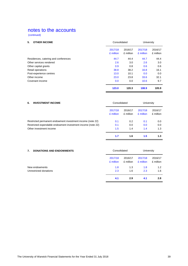(continued)

| <b>OTHER INCOME</b><br>5.            | Consolidated |           | University |           |
|--------------------------------------|--------------|-----------|------------|-----------|
|                                      | 2017/18      | 2016/17   | 2017/18    | 2016/17   |
|                                      | £ million    | £ million | £ million  | £ million |
| Residences, catering and conferences | 44.7         | 44.4      | 44.7       | 44.4      |
| Other services rendered              | 2.6          | 3.0       | 2.6        | 3.0       |
| Other capital grants                 | 0.9          | 0.8       | 0.6        | 0.6       |
| Retail operations                    | 38.8         | 38.2      | 16.8       | 16.1      |
| Post-experience centres              | 13.0         | 10.1      | 0.0        | 0.0       |
| Other income                         | 23.0         | 23.8      | 33.6       | 32.1      |
| Covenant income                      | 0.0          | 0.0       | 10.6       | 9.7       |
|                                      | 123.0        | 120.3     | 108.9      | 105.9     |

| 6.<br><b>INVESTMENT INCOME</b>                              |                      | Consolidated         |                      | University           |  |
|-------------------------------------------------------------|----------------------|----------------------|----------------------|----------------------|--|
|                                                             | 2017/18<br>£ million | 2016/17<br>£ million | 2017/18<br>£ million | 2016/17<br>£ million |  |
| Restricted permanent endowment investment income (note 22)  | 0.1                  | 0.2                  | 0.1                  | 0.0                  |  |
| Restricted expendable endowment investment income (note 22) | 0.1                  | 0.0                  | 0.0                  | 0.0                  |  |
| Other investment income                                     | 1.5                  | 1.4                  | 1.4                  | 1.3                  |  |
|                                                             | 1.7                  | 1.6                  | 1.5                  | 1.3                  |  |

| <b>DONATIONS AND ENDOWMENTS</b><br>7. |           | Consolidated |           | <b>University</b> |  |
|---------------------------------------|-----------|--------------|-----------|-------------------|--|
|                                       | 2017/18   | 2016/17      | 2017/18   | 2016/17           |  |
|                                       | £ million | £ million    | £ million | £ million         |  |
| New endowments                        | 1.8       | 1.3          | 1.8       | 1.2               |  |
| Unrestricted donations                | 2.3       | 1.6          | 2.3       | 1.6               |  |
|                                       | 4.1       | 2.9          | 4.1       | 2.8               |  |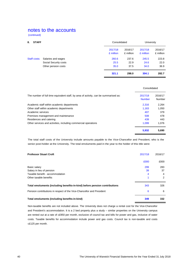(continued)

| <b>STAFF</b><br>8. |                       |                      | Consolidated         |                      | University           |  |
|--------------------|-----------------------|----------------------|----------------------|----------------------|----------------------|--|
|                    |                       | 2017/18<br>£ million | 2016/17<br>£ million | 2017/18<br>£ million | 2016/17<br>£ million |  |
| Staff costs:       | Salaries and wages    | 260.6                | 237.6                | 245.5                | 223.8                |  |
|                    | Social Security costs | 25.5                 | 22.9                 | 24.6                 | 22.0                 |  |
|                    | Other pension costs   | 35.0                 | 37.5                 | 34.0                 | 36.9                 |  |
|                    |                       | 321.1                | 298.0                | 304.1                | 282.7                |  |

|                                                                                      | Consolidated             |                   |  |
|--------------------------------------------------------------------------------------|--------------------------|-------------------|--|
| The number of full time equivalent staff, by area of activity, can be summarised as: | 2017/18<br><b>Number</b> | 2016/17<br>Number |  |
| Academic staff within academic departments                                           | 2.316                    | 2,264             |  |
| Other staff within academic departments                                              | 1.163                    | 1,050             |  |
| Academic services                                                                    | 407                      | 379               |  |
| Premises management and maintenance                                                  | 508                      | 478               |  |
| Residences and catering                                                              | 439                      | 443               |  |
| Other services and activities, including commercial operations                       | 1.099                    | 1.076             |  |
|                                                                                      | 5.932                    | 5.690             |  |

The total staff costs of the University include amounts payable to the Vice-Chancellor and President, who is the senior post-holder at the University. The total emoluments paid in the year to the holder of this title were:

| <b>Professor Stuart Croft</b>                                              | 2017/18 | 2016/17 |
|----------------------------------------------------------------------------|---------|---------|
|                                                                            | £000    | £000    |
| Basic salary                                                               | 299     | 283     |
| Salary in lieu of pension                                                  | 39      | 37      |
| Taxable benefit - accommodation                                            | 4       | 4       |
| Other taxable benefits                                                     |         | 2       |
| Total emoluments (including benefits-in-kind) before pension contributions | 343     | 326     |
| Pension contributions in respect of the Vice-Chancellor and President      | 6       | 6       |
| Total emoluments (including benefits-in-kind)                              | 349     | 332     |

Non-taxable benefits are not included above. The University does not charge a rental cost for the Vice-Chancellor and President's accommodation. It is a 2 bed property plus a study – similar properties on the University campus are rented out at a rate of c£950 per month, exclusive of council tax and bills for power and gas, inclusive of water costs. Taxable benefits for accommodation include power and gas costs. Council tax is non-taxable and costs c£125 per month.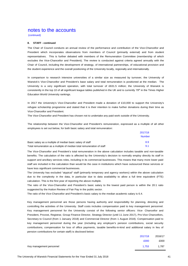(continued)

#### **8. STAFF - continued**

The Chair of Council conducts an annual review of the performance and contribution of the Vice-Chancellor and President which incorporates observations from members of Council (primarily external) and from student representatives. This is further debated with members of the Remuneration Committee (membership of which excludes the Vice-Chancellor and President). The review is conducted against criteria agreed annually with the Chair of Council, including the development of strategy, of international partnerships, of educational provision and the student experience and the overall positioning of the University locally, regionally and internationally.

In comparison to research intensive universities of a similar size as measured by turnover, the University of Warwick's Vice-Chancellor and President's base salary and total remuneration is positioned at the median. The University is a very significant operation, with total turnover of £631.5 million; the University of Warwick is consistently in the top 10 of all significant league tables published in the UK and is currently 79<sup>th</sup> in the Times Higher Education World University rankings.

In 2017 the University's Vice-Chancellor and President made a donation of £10,000 to support the University's refugee scholarship programme and stated that it is their intention to make further donations during their time as Vice-Chancellor and President.

The Vice-Chancellor and President has chosen not to undertake any paid work outside of the University.

The relationship between the Vice-Chancellor and President's remuneration, expressed as a multiple of all other employees is set out below, for both basic salary and total remuneration:

 $2017/18$ 

|                                                                        | 2017/18       |
|------------------------------------------------------------------------|---------------|
|                                                                        | <b>Number</b> |
| Basic salary as a multiple of median basic salary of staff             | 8.9           |
| Total remuneration as a multiple of median total remuneration of staff | 9.1           |

The Vice-Chancellor and President's total remuneration in the above calculation includes taxable and non-taxable benefits. The calculation of the ratio is affected by the University's decision to normally employ directly its staff in support and ancillary services roles, including in its commercial businesses. This means that many more lower paid staff are included in the calculation than would be the case in institutions which have outsourced these services or have less significant commercial businesses.

The University has excluded "atypical" staff (primarily temporary and agency workers) within the above calculation due to the complexity in the data, in particular due to data availability to allow a full time equivalent (FTE) calculation. This is the first year of reporting the above multiple.

The ratio of the Vice-Chancellor and President's basic salary to the lowest paid person is within the 20:1 ratio suggested by the Hutton Review of Fair Pay in the public sector.

The ratio of the Vice-Chancellor and President's basic salary to the median academic salary is 6.4.

Key management personnel are those persons having authority and responsibility for planning, directing and controlling the activities of the University. Staff costs includes compensation paid to key management personnel. Key management personnel for the University consist of the following senior officers: Vice- Chancellor and President, Provost, Registrar, Group Finance Director, Strategy Director (until 11 June 2017), Pro-Vice Chancellors, Secretary to Council (from 1 January 2018) and Commercial Director (from 1 August 2018). Compensation paid to key management personnel during the year (including any employer's pension contributions, social security contributions, compensation for loss of office payments, taxable benefits-in-kind and additional salary in lieu of pension contributions for certain staff) is disclosed below:

| 2017/18                           | 2016/17 |
|-----------------------------------|---------|
| £000                              | £000    |
| Key management personnel<br>1.753 | 1.787   |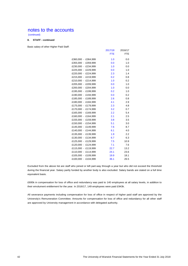(continued)

## **8. STAFF - continued**

Basic salary of other Higher Paid Staff:

|                     | 2017/18    | 2016/17    |
|---------------------|------------|------------|
|                     | <b>FTE</b> | <b>FTE</b> |
| £360,000 - £364,999 | 1.0        | 0.0        |
| £355,000 - £359,999 | 0.0        | 1.0        |
| £230,000 - £234,999 | 1.0        | 0.0        |
| £225,000 - £229,999 | 0.0        | 1.0        |
| £220,000 - £224,999 | 2.3        | 1.4        |
| £215,000 - £219,999 | 0.2        | 0.8        |
| £210,000 - £214,999 | 1.0        | 0.2        |
| £205,000 - £209,999 | 0.0        | 1.0        |
| £200,000 - £204,999 | 1.0        | 0.0        |
| £195,000 - £199,999 | 0.2        | 1.0        |
| £190,000 - £194,999 | 0.0        | 0.2        |
| £185,000 - £189,999 | 2.6        | 0.8        |
| £180,000 - £184,999 | 4.1        | 2.9        |
| £175,000 - £179,999 | 2.3        | 4.8        |
| £170,000 - £174,999 | 3.2        | 0.7        |
| £165,000 - £169,999 | 2.2        | 5.4        |
| £160,000 - £164,999 | 2.1        | 2.5        |
| £155,000 - £159,999 | 3.8        | 3.5        |
| £150,000 - £154,999 | 5.1        | 3.0        |
| £145,000 - £149,999 | 7.6        | 8.7        |
| £140,000 - £144,999 | 6.1        | 4.0        |
| £135,000 - £139,999 | 1.9        | 2.2        |
| £130,000 - £134,999 | 6.7        | 6.3        |
| £125,000 - £129,999 | 7.5        | 10.9       |
| £120,000 - £124,999 | 7.1        | 7.6        |
| £115,000 - £119,999 | 22.7       | 13.2       |
| £110,000 - £114,999 | 24.1       | 23.6       |
| £105,000 - £109,999 | 19.9       | 18.1       |
| £100,000 - £104,999 | 36.1       | 26.5       |

Excluded from the above list are staff who joined or left part-way through a year but who did not exceed the threshold during the financial year. Salary partly funded by another body is also excluded. Salary bands are stated on a full time equivalent basis.

£695k in compensation for loss of office and redundancy was paid to 140 employees at all salary levels, in addition to their emolument entitlement for the year. In 2016/17, 149 employees were paid £943k.

All severance payments including compensation for loss of office in respect of higher paid staff are approved by the University's Remuneration Committee. Amounts for compensation for loss of office and redundancy for all other staff are approved by University management in accordance with delegated authority.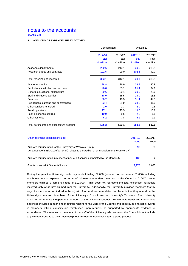(continued)

## **9. ANALYSIS OF EXPENDITURE BY ACTIVITY**

| 2017/18<br><b>Total</b><br>£ million | 2016/17<br>Total | 2017/18<br>Total | 2016/17            |
|--------------------------------------|------------------|------------------|--------------------|
|                                      |                  | £ million        | Total<br>£ million |
| 230.6                                | 213.1            | 230.6            | 213.1              |
| 102.5                                | 99.0             | 102.5            | 99.0               |
| 333.1                                | 312.1            | 333.1            | 312.1              |
| 38.8                                 | 36.9             | 38.8             | 36.9               |
| 26.0                                 | 35.1             | 25.4             | 34.6               |
| 30.6                                 | 29.1             | 30.5             | 29.0               |
| 18.0                                 | 15.5             | 18.0             | 15.5               |
| 50.2                                 | 48.3             | 51.4             | 49.3               |
| 33.4                                 | 31.9             | 34.8             | 31.9               |
| 2.0                                  | 2.3              | 2.0              | 2.8                |
| 27.1                                 | 25.5             | 18.5             | 15.8               |
| 10.9                                 | 8.6              | 2.2              | 1.8                |
| 6.2                                  | 7.8              | 6.1              | 7.9                |
| 576.3                                | 553.1            | 560.8            | 537.6              |
|                                      |                  | 2017/18<br>£000  | 2016/17<br>£000    |
|                                      |                  | £ million        |                    |

|                                                                                                                                                            | £000  | £000  |
|------------------------------------------------------------------------------------------------------------------------------------------------------------|-------|-------|
| Auditor's remuneration for the University of Warwick Group<br>(An amount of £45k (2016/17: £44k) relates to the Auditor's remuneration for the University) | 90    | 93    |
| Auditor's remuneration in respect of non-audit services appointed by the University                                                                        | 188   | 82    |
| Grants to Warwick Students' Union                                                                                                                          | 2.978 | 2.875 |

During the year the University made payments totalling £7,000 (rounded to the nearest £1,000) including reimbursement of expenses, on behalf of thirteen independent members of the Council (2016/17: twelve members claimed a combined total of £10,000). This does not represent the total expenses individuals incurred, only what they claimed from the University. Additionally, the University provides members (not by way of expenses on an individual basis) with food and accommodation for the activities they attend on the University's campus. Members of the University's Council are the University's Trustees. The University does not remunerate independent members of the University Council. Reasonable travel and subsistence expenses incurred in attending meetings relating to the work of the Council and associated charitable events in members' official capacity are reimbursed upon request, as supported by appropriate evidence of expenditure. The salaries of members of the staff of the University who serve on the Council do not include any element specific to their trusteeship, but are determined following an agreed process.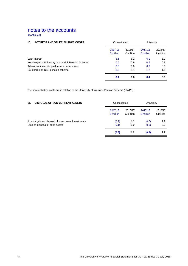(continued)

| 10.<br><b>INTEREST AND OTHER FINANCE COSTS</b>     |                      | Consolidated         |                      | University           |  |
|----------------------------------------------------|----------------------|----------------------|----------------------|----------------------|--|
|                                                    | 2017/18<br>£ million | 2016/17<br>£ million | 2017/18<br>£ million | 2016/17<br>£ million |  |
| Loan interest                                      | 6.1                  | 6.2                  | 6.1                  | 6.2                  |  |
| Net charge on University of Warwick Pension Scheme | 0.5                  | 0.9                  | 0.5                  | 0.9                  |  |
| Administration costs paid from scheme assets       | 0.6                  | 0.6                  | 0.6                  | 0.6                  |  |
| Net charge on USS pension scheme                   | 1.2                  | 1.1                  | 1.2                  | 1.1                  |  |
|                                                    | 8.4                  | 8.8                  | 8.4                  | 8.8                  |  |

The administration costs are in relation to the University of Warwick Pension Scheme (UWPS).

| <b>DISPOSAL OF NON-CURRENT ASSETS</b><br>11.         | Consolidated |           | University |           |
|------------------------------------------------------|--------------|-----------|------------|-----------|
|                                                      | 2017/18      | 2016/17   | 2017/18    | 2016/17   |
|                                                      | £ million    | £ million | £ million  | £ million |
| (Loss) / gain on disposal of non-current investments | (0.7)        | 1.2       | (0.7)      | 1.2       |
| Loss on disposal of fixed assets                     | (0.1)        | 0.0       | (0.1)      | 0.0       |
|                                                      | (0.8)        | 1.2       | (0.8)      | 1.2       |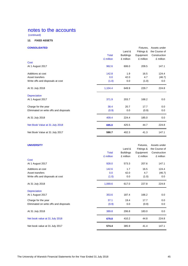(continued)

## **12. FIXED ASSETS**

## **CONSOLIDATED** Fixtures, Assets under

|                                        |              | Land &           | Fittings & | the Course of |
|----------------------------------------|--------------|------------------|------------|---------------|
|                                        | <b>Total</b> | <b>Buildings</b> | Equipment  | Construction  |
|                                        | £ million    | £ million        | £ million  | £ million     |
| Cost                                   |              |                  |            |               |
| At 1 August 2017                       | 962.6        | 606.0            | 209.5      | 147.1         |
| Additions at cost                      | 142.8        | 1.9              | 16.5       | 124.4         |
| Asset transfers                        | 0.0          | 42.0             | 4.7        | (46.7)        |
| Write offs and disposals at cost       | (1.0)        | 0.0              | (1.0)      | 0.0           |
| At 31 July 2018                        | 1,104.4      | 649.9            | 229.7      | 224.8         |
| <b>Depreciation</b>                    |              |                  |            |               |
| At 1 August 2017                       | 371.9        | 203.7            | 168.2      | 0.0           |
| Charge for the year                    | 38.4         | 20.7             | 17.7       | 0.0           |
| Eliminated on write offs and disposals | (0.9)        | 0.0              | (0.9)      | 0.0           |
| At 31 July 2018                        | 409.4        | 224.4            | 185.0      | 0.0           |
| Net Book Value at 31 July 2018         | 695.0        | 425.5            | 44.7       | 224.8         |
| Net Book Value at 31 July 2017         | 590.7        | 402.3            | 41.3       | 147.1         |

## **UNIVERSITY External System Control Control Control Control Control Control Control Control Control Control Control Control Control Control Control Control Control Control Control Control Control Control Control Control**

|                                        | <b>Total</b><br>£ million | Land &<br><b>Buildings</b><br>£ million | Fittings &<br>Equipment<br>£ million | the Course of<br>Construction<br>£ million |
|----------------------------------------|---------------------------|-----------------------------------------|--------------------------------------|--------------------------------------------|
| Cost                                   |                           |                                         |                                      |                                            |
| At 1 August 2017                       | 928.0                     | 573.3                                   | 207.6                                | 147.1                                      |
| Additions at cost                      | 142.6                     | 1.7                                     | 16.5                                 | 124.4                                      |
| Asset transfers                        | 0.0                       | 42.0                                    | 4.7                                  | (46.7)                                     |
| Write offs and disposals at cost       | (1.0)                     | 0.0                                     | (1.0)                                | 0.0                                        |
| At 31 July 2018                        | 1,069.6                   | 617.0                                   | 227.8                                | 224.8                                      |
| Depreciation                           |                           |                                         |                                      |                                            |
| At 1 August 2017                       | 353.6                     | 187.4                                   | 166.2                                | 0.0                                        |
| Charge for the year                    | 37.1                      | 19.4                                    | 17.7                                 | 0.0                                        |
| Eliminated on write offs and disposals | (0.9)                     | 0.0                                     | (0.9)                                | 0.0                                        |
| At 31 July 2018                        | 389.8                     | 206.8                                   | 183.0                                | 0.0                                        |
| Net book value at 31 July 2018         | 679.8                     | 410.2                                   | 44.8                                 | 224.8                                      |
| Net book value at 31 July 2017         | 574.4                     | 385.9                                   | 41.4                                 | 147.1                                      |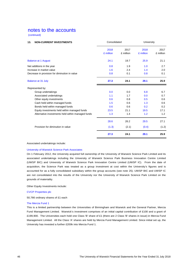(continued)

| 13.<br><b>NON-CURRENT INVESTMENTS</b>             | Consolidated      |                   | University        |                   |
|---------------------------------------------------|-------------------|-------------------|-------------------|-------------------|
|                                                   | 2018<br>£ million | 2017<br>£ million | 2018<br>£ million | 2017<br>£ million |
| <b>Balance at 1 August</b>                        | 24.1              | 19.7              | 25.9              | 21.1              |
| Net additions in the year                         | 0.8               | 1.9               | 1.0               | 2.7               |
| Increase in market value                          | 1.6               | 2.4               | 1.4               | 2.0               |
| Decrease in provision for diminution in value     | 0.8               | 0.1               | 0.8               | 0.1               |
| <b>Balance at 31 July</b>                         | 27.3              | 24.1              | 29.1              | 25.9              |
| Represented by:                                   |                   |                   |                   |                   |
| Group undertakings                                | 0.0               | 0.0               | 6.8               | 6.7               |
| Associated undertakings                           | 1.1               | 1.7               | 0.0               | 0.7               |
| Other equity investments                          | 0.6               | 0.8               | 0.5               | 0.6               |
| Cash held within managed funds                    | 1.5               | 0.6               | 1.3               | 0.6               |
| Bonds held within managed funds                   | 0.6               | 0.6               | 0.2               | $0.2^{\circ}$     |
| Equity investments held within managed funds      | 23.5              | 21.1              | 19.5              | 17.1              |
| Alternative investments held within managed funds | 1.3               | 1.4               | 1.2               | 1.2               |
|                                                   | 28.6              | 26.2              | 29.5              | 27.1              |
| Provision for diminution in value                 | (1.3)             | (2.1)             | (0.4)             | (1.2)             |
|                                                   | 27.3              | 24.1              | 29.1              | 25.9              |

Associated undertakings include:

#### University of Warwick Science Park Associates

On 1 February 2012, the University acquired full ownership of the University of Warwick Science Park Limited and its associated undertakings including the University of Warwick Science Park Business Innovation Centre Limited (UWSP BIC) and University of Warwick Science Park Innovation Centre Limited (UWSP IC). From the date of acquisition, the Science Park was treated as a group investment at cost within the University's figures and is accounted for as a fully consolidated subsidiary within the group accounts (see note 25). UWSP BIC and UWSP IC are not consolidated into the results of the University nor the University of Warwick Science Park Limited on the grounds of materiality.

Other Equity Investments include:

CVCP Properties plc

50,766 ordinary shares of £1 each

#### The Mercia Fund 1

This is a limited partnership between the Universities of Birmingham and Warwick and the General Partner, Mercia Fund Management Limited. Warwick's investment comprises of an initial capital contribution of £100 and a grant of £199,900. The Universities each hold one Class 'B' share of £1 (there are 2 Class 'B' shares in issue) in Mercia Fund Management Limited. All the Class 'A' shares are held by Mercia Fund Management Limited. Since initial set up, the University has invested a further £200k into Mercia Fund 1.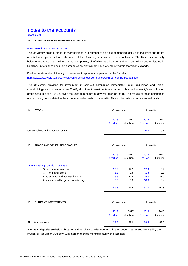(continued)

## **13. NON-CURRENT INVESTMENTS - continued**

#### Investment in spin-out companies

The University holds a range of shareholdings in a number of spin-out companies, set up to maximise the return on intellectual property that is the result of the University's previous research activities. The University currently holds investments in 37 active spin-out companies, all of which are incorporated in Great Britain and registered in England. In total these spin-out companies employ almost 140 staff, mainly within the West Midlands.

Further details of the University's investment in spin-out companies can be found at http://www2.warwick.ac.uk/services/ventures/spinout-companies/spin-out-companies-a-z-list/.

The University provides for investment in spin-out companies immediately upon acquisition and, whilst shareholdings vary in range, up to 50.0%, all spin-out investments are carried within the University's consolidated group accounts at nil value, given the uncertain nature of any valuation or return. The results of these companies are not being consolidated in the accounts on the basis of materiality. This will be reviewed on an annual basis.

| 14.<br><b>STOCK</b>              | Consolidated      |                   | University        |                   |
|----------------------------------|-------------------|-------------------|-------------------|-------------------|
|                                  | 2018<br>£ million | 2017<br>£ million | 2018<br>£ million | 2017<br>£ million |
| Consumables and goods for resale | 0.9               | 1.1               | 0.8               | 0.6               |

| <b>TRADE AND OTHER RECEIVABLES</b><br>15. | Consolidated      |                   | University        |                   |
|-------------------------------------------|-------------------|-------------------|-------------------|-------------------|
|                                           | 2018<br>£ million | 2017<br>£ million | 2018<br>£ million | 2017<br>£ million |
| Amounts falling due within one year:      |                   |                   |                   |                   |
| Other trade receivables                   | 20.7              | 19.3              | 17.3              | 16.7              |
| VAT and other taxes                       | 1.3               | 0.8               | 1.3               | 0.8               |
| Prepayments and accrued income            | 28.8              | 27.8              | 28.0              | 27.0              |
| Amounts owed by group undertakings        | 0.0               | 0.0               | 10.6              | 10.4              |
|                                           | 50.8              | 47.9              | 57.2              | 54.9              |

| 16.<br><b>CURRENT INVESTMENTS</b> |                   | Consolidated      |                   | University        |  |
|-----------------------------------|-------------------|-------------------|-------------------|-------------------|--|
|                                   | 2018<br>£ million | 2017<br>£ million | 2018<br>£ million | 2017<br>£ million |  |
| Short term deposits               | 38.5              | 89.0              | 38.5              | 89.0              |  |

Short term deposits are held with banks and building societies operating in the London market and licensed by the Prudential Regulation Authority, with more than three months maturity on placement.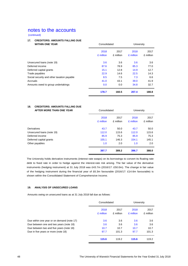(continued)

## **17. CREDITORS: AMOUNTS FALLING DUE**

| <b>WITHIN ONE YEAR</b>                     | Consolidated |           | University |           |
|--------------------------------------------|--------------|-----------|------------|-----------|
|                                            | 2018         | 2017      | 2018       | 2017      |
|                                            | £ million    | £ million | £ million  | £ million |
| Unsecured loans (note 19)                  | 3.6          | 3.6       | 3.6        | 3.6       |
| Deferred income                            | 87.6         | 78.9      | 85.3       | 77.0      |
| Deferred capital grants                    | 15.1         | 12.8      | 14.9       | 12.7      |
| Trade payables                             | 22.9         | 14.6      | 22.5       | 14.3      |
| Social security and other taxation payable | 8.5          | 7.5       | 7.3        | 6.6       |
| Accruals                                   | 41.0         | 43.1      | 39.0       | 41.9      |
| Amounts owed to group undertakings         | 0.0          | 0.0       | 34.8       | 32.7      |
|                                            | 178.7        | 160.5     | 207.4      | 188.8     |

#### **18. CREDITORS: AMOUNTS FALLING DUE AFTER MORE THAN ONE YEAR** Consolidated University

| AFIEN WONE INAN ONE IEAN  | vuisuluateu       |                   | <b>UILIVELSILY</b> |                   |  |
|---------------------------|-------------------|-------------------|--------------------|-------------------|--|
|                           | 2018<br>£ million | 2017<br>£ million | 2018<br>£ million  | 2017<br>£ million |  |
| Derivatives               | 43.7              | 50.0              | 43.7               | 50.0              |  |
| Unsecured Ioans (note 19) | 112.0             | 115.6             | 112.0              | 115.6             |  |
| Deferred income           | 85.9              | 75.3              | 85.9               | 75.3              |  |
| Deferred capital grants   | 155.1             | 146.3             | 154.1              | 145.1             |  |
| Other payables            | 1.0               | 2.0               | 1.0                | 2.0               |  |
|                           | 397.7             | 389.2             | 396.7              | 388.0             |  |

The University holds derivative instruments (interest rate swaps) on its borrowings to convert its floating rate debt to fixed rate in order to hedge against the interest-rate risk arising. The fair value of the derivative instruments (hedging instrument) at 31 July 2018 was £43.7m (2016/17: £50.0m). The change in fair value of the hedging instrument during the financial year of £6.3m favourable (2016/17: £14.6m favourable) is shown within the Consolidated Statement of Comprehensive Income.

## **19. ANALYSIS OF UNSECURED LOANS**

Amounts owing on unsecured loans as at 31 July 2018 fall due as follows:

|                                            | Consolidated      |                   | University        |                   |
|--------------------------------------------|-------------------|-------------------|-------------------|-------------------|
|                                            | 2018<br>£ million | 2017<br>£ million | 2018<br>£ million | 2017<br>£ million |
| Due within one year or on demand (note 17) | 3.6               | 3.6               | 3.6               | 3.6               |
| Due between one and two years (note 18)    | 3.6               | 3.6               | 3.6               | 3.6               |
| Due between two and five years (note 18)   | 10.7              | 10.7              | 10.7              | 10.7              |
| Due in five years or more (note 18)        | 97.7              | 101.3             | 97.7              | 101.3             |
|                                            | 115.6             | 119.2             | 115.6             | 119.2             |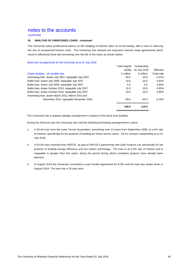(continued)

#### **19. ANALYSIS OF UNSECURED LOANS - continued**

The University takes professional advice on the hedging of interest rates on its borrowing, with a view to reducing the risk of unexpected finance costs. The University has entered into long term interest swap agreements which result in effectively fixed rate borrowing over the life of the loans as shown below.

Bank loan arrangements for the University as at 31 July 2018:

|                                                       | Total original | Outstanding  |                   |
|-------------------------------------------------------|----------------|--------------|-------------------|
|                                                       | facility       | 31 July 2018 | Effective         |
| Drawn facilities - all variable rate                  | £ million      | £ million    | <b>Fixed rate</b> |
| Amortising Ioan, drawn July 2007, repayable July 2037 | 40.0           | 25.0         | 5.37%             |
| Bullet Ioan, drawn July 2008, repayable July 2037     | 10.0           | 10.0         | 4.82%             |
| Bullet Ioan, drawn July 2009, repayable July 2037     | 5.0            | 5.0          | 4.92%             |
| Bullet Ioan, drawn October 2010, repayable July 2037  | 15.0           | 15.0         | 4.92%             |
| Bullet Ioan, drawn October 2010, repayable July 2037  | 10.0           | 10.0         | 4.84%             |
| Amortising Ioan, drawn March 2012, March 2013 and     |                |              |                   |
| December 2013, repayable December 2040                | 60.0           | 50.0         | 5.19%             |
|                                                       | 140.0          | 115.0        |                   |
|                                                       |                |              |                   |

The University has a negative pledge arrangement in respect of the bank loan facilities.

During the financial year the University also had the following borrowing arrangements in place:

- 1. A £0.4m loan from the Lawn Tennis Association, amortising over 13 years from September 2008, at a 0% rate of interest, specifically for the purpose of building an indoor tennis centre. £0.1m remains outstanding as at 31 July 2018.
- 2. A £0.5m loan received from HEFCE, as part of HEFCE's partnership with Salix Finance Ltd, specifically for the purpose of funding energy efficiency and low carbon technology. The loan is at a 0% rate of interest and is repayable in greater than five years, being the period during which compliant projects have already been planned.
- 3. In August 2018 the University concluded a Loan Facility Agreement for £75m and the loan was drawn down in August 2018. The loan has a 20 year term.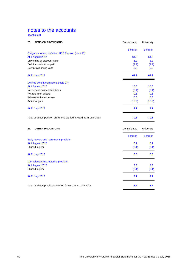(continued)

| 20.<br><b>PENSION PROVISIONS</b>                                  | Consolidated | University |
|-------------------------------------------------------------------|--------------|------------|
|                                                                   | £ million    | £ million  |
| Obligation to fund deficit on USS Pension (Note 27)               |              |            |
| At 1 August 2017                                                  | 64.8         | 64.8       |
| Unwinding of discount factor                                      | 1.2          | 1.2        |
| Deficit contributions paid                                        | (3.9)        | (3.9)      |
| New provisions in year                                            | 0.8          | 0.8        |
| At 31 July 2018                                                   | 62.9         | 62.9       |
| Defined benefit obligations (Note 27)                             |              |            |
| At 1 August 2017                                                  | 20.5         | 20.5       |
| Net service cost contributions                                    | (0.4)        | (0.4)      |
| Net return on assets                                              | 0.5          | 0.5        |
| Administrative expenses                                           | 0.6          | 0.6        |
| Actuarial gain                                                    | (13.5)       | (13.5)     |
| At 31 July 2018                                                   | 7.7          | 7.7        |
| Total of above pension provisions carried forward at 31 July 2018 | 70.6         | 70.6       |
| 21.<br><b>OTHER PROVISIONS</b>                                    | Consolidated | University |
|                                                                   | £ million    | £ million  |
| Early leavers and retirements provision                           |              |            |
| At 1 August 2017                                                  | 0.1          | 0.1        |
| Utilised in year                                                  | (0.1)        | (0.1)      |
| At 31 July 2018                                                   | 0.0          | 0.0        |
| Life Sciences restructuring provision                             |              |            |
| At 1 August 2017                                                  | 3.3          | 3.3        |
| Utilised in year                                                  | (0.1)        | (0.1)      |
| At 31 July 2018                                                   | 3.2          | 3.2        |
| Total of above provisions carried forward at 31 July 2018         | 3.2          | 3.2        |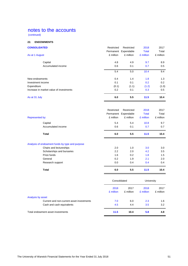(continued)

## **22. ENDOWMENTS**

| <b>CONSOLIDATED</b>                     | Restricted | Restricted<br>Permanent Expendable | 2018<br><b>Total</b> | 2017<br>Total |
|-----------------------------------------|------------|------------------------------------|----------------------|---------------|
| As at 1 August                          | £ million  | £ million                          | £ million            | £ million     |
| Capital                                 | 4.8        | 4.9                                | 9.7                  | 8.9           |
| Accumulated income                      | 0.6        | 0.1                                | 0.7                  | 0.5           |
|                                         | 5.4        | 5.0                                | 10.4                 | 9.4           |
| New endowments                          | 0.4        | 1.4                                | 1.8                  | 1.3           |
| Investment income                       | 0.1        | 0.1                                | 0.2                  | 0.2           |
| Expenditure                             | (0.1)      | (1.1)                              | (1.2)                | (1.0)         |
| Increase in market value of investments | 0.2        | 0.1                                | 0.3                  | 0.5           |
| As at 31 July                           | 6.0        | 5.5                                | 11.5                 | 10.4          |

|                                                 | Restricted | Restricted           | 2018         | 2017      |
|-------------------------------------------------|------------|----------------------|--------------|-----------|
|                                                 |            | Permanent Expendable | <b>Total</b> | Total     |
| <b>Represented by:</b>                          | £ million  | £ million            | £ million    | £ million |
| Capital                                         | 5.4        | 5.4                  | 10.8         | 9.7       |
| Accumulated income                              | 0.6        | 0.1                  | 0.7          | 0.7       |
| Total                                           | 6.0        | 5.5                  | 11.5         | 10.4      |
| Analysis of endowment funds by type and purpose |            |                      |              |           |
| Chairs and lectureships                         | 2.0        | 1.0                  | 3.0          | 3.0       |
| Scholarships and bursaries                      | 2.2        | 2.0                  | 4.2          | 3.5       |
| Prize funds                                     | 1.6        | 0.2                  | 1.8          | 1.5       |
| General                                         | 0.2        | 1.9                  | 2.1          | 2.0       |
| Research support                                | 0.0        | 0.4                  | 0.4          | 0.4       |
|                                                 |            |                      |              |           |

|                                           | Consolidated      |                   | University        |                   |
|-------------------------------------------|-------------------|-------------------|-------------------|-------------------|
|                                           | 2018<br>£ million | 2017<br>£ million | 2018<br>£ million | 2017<br>£ million |
| Analysis by asset                         |                   |                   |                   |                   |
| Current and non-current asset investments | 7.0               | 6.0               | 2.3               | 1.6               |
| Cash and cash equivalents                 | 4.5               | 4.4               | 3.5               | 3.2               |
| Total endowment asset investments         | 11.5              | 10.4              | 5.8               | 4.8               |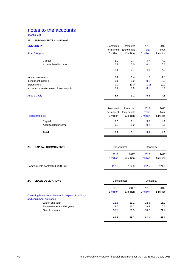(continued)

## **22. ENDOWMENTS - continued**

| <b>UNIVERSITY</b>                       | Restricted<br>Permanent | Restricted<br>Expendable | 2018<br><b>Total</b> | 2017<br>Total |
|-----------------------------------------|-------------------------|--------------------------|----------------------|---------------|
| As at 1 August                          | £ million               | £ million                | £ million            | £ million     |
| Capital                                 | 2.0                     | 2.7                      | 4.7                  | 4.2           |
| Accumulated Income                      | 0.1                     | 0.0                      | 0.1                  | 0.1           |
|                                         | 2.1                     | 2.7                      | 4.8                  | 4.3           |
| New endowments                          | 0.4                     | 1.4                      | 1.8                  | 1.3           |
| Investment income                       | 0.1                     | 0.0                      | 0.1                  | 0.0           |
| Expenditure                             | 0.0                     | (1.0)                    | (1.0)                | (0.9)         |
| Increase in market value of investments | 0.1                     | 0.0                      | 0.1                  | 0.1           |
| As at 31 July                           | 2.7                     | 3.1                      | 5.8                  | 4.8           |

| Total              | 2.7        | 3.1        | 5.8          | 4.8       |
|--------------------|------------|------------|--------------|-----------|
| Accumulated income | 0.2        | 0.0        | 0.2          | 0.1       |
| Capital            | 2.5        | 3.1        | 5.6          | 4.7       |
| Represented by:    | £ million  | £ million  | £ million    | £ million |
|                    | Permanent  | Expendable | <b>Total</b> | Total     |
|                    | Restricted | Restricted | 2018         | 2017      |
|                    |            |            |              |           |

| <b>CAPITAL COMMITMENTS</b><br>23. | Consolidated      |                   | University        |                   |  |
|-----------------------------------|-------------------|-------------------|-------------------|-------------------|--|
|                                   | 2018<br>£ million | 2017<br>£ million | 2018<br>£ million | 2017<br>£ million |  |
| Commitments contracted at 31 July | 112.5             | 124.8             | 112.5             | 124.8             |  |

| <b>LEASE OBLIGATIONS</b><br>24.                     |                   | Consolidated      |                   | University        |  |
|-----------------------------------------------------|-------------------|-------------------|-------------------|-------------------|--|
|                                                     | 2018<br>£ million | 2017<br>£ million | 2018<br>£ million | 2017<br>£ million |  |
| Operating lease commitments in respect of buildings |                   |                   |                   |                   |  |
| and equipment on leases:                            |                   |                   |                   |                   |  |
| Within one year                                     | 12.5              | 11.1              | 12.5              | 11.0              |  |
| Between one and five years                          | 19.5              | 16.2              | 19.4              | 16.2              |  |
| Over five years                                     | 30.2              | 21.9              | 30.2              | 21.9              |  |
|                                                     | 62.2              | 49.2              | 62.1              | 49.1              |  |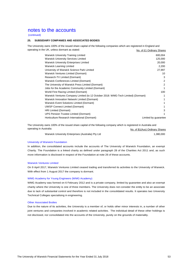(continued)

#### **25. SUBSIDIARY COMPANIES AND ASSOCIATED BODIES**

The University owns 100% of the issued share capital of the following companies which are registered in England and operating in the UK, unless dormant as stated: No. of £1 Ordinary Shares

| <b>Warwick University Training Limited</b>                                        | 600,004              |
|-----------------------------------------------------------------------------------|----------------------|
| <b>Warwick University Services Limited</b>                                        | 125,000              |
| <b>Warwick University Enterprises Limited</b>                                     | 20,000               |
| <b>Warwick Learning Limited</b>                                                   | 2,200                |
| University of Warwick Science Park Limited                                        | 27,997               |
| Warwick Ventures Limited (Dormant)                                                | 10                   |
| Research-TV Limited (Dormant)                                                     | 3                    |
| Warwick Conferences Limited (Dormant)                                             | 2                    |
| The University of Warwick Press Limited (Dormant)                                 | 2                    |
| Jobs for the Academic Community Limited (Dormant)                                 |                      |
| World First Racing Limited (Dormant)                                              | 100                  |
| Warwick Ventures Company Limited (to 12 October 2018: WMG-Tech Limited) (Dormant) | 1                    |
| Warwick Innovation Network Limited (Dormant)                                      |                      |
| Warwick Event Solutions Limited (Dormant)                                         |                      |
| <b>UWSP Connect Limited (Dormant)</b>                                             |                      |
| HRI Limited (Dormant)                                                             | 3                    |
| UPS Pension Trustee Limited (Dormant)                                             | 1                    |
| Horticulture Research International (Dormant)                                     | Limited by guarantee |

The University owns 100% of the issued share capital of the following company which is registered in Australia and operating in Australia: No. of \$1(Aus) Ordinary Shares

| Warwick University Enterprises (Australia) Pty Ltd | 1,380,000 |
|----------------------------------------------------|-----------|

#### University of Warwick Foundation

In addition, the consolidated accounts include the accounts of The University of Warwick Foundation, an exempt Charity. The Foundation is a linked charity as defined under paragraph 28 of the Charities Act 2011 and, as such more information is disclosed in respect of the Foundation at note 26 of these accounts.

#### Warwick Ventures Limited

On 9 April 2017, Warwick Ventures Limited ceased trading and transferred its activities to the University of Warwick. With effect from 1 August 2017 the company is dormant.

#### WMG Academy for Young Engineers (WMG Academy)

WMG Academy was formed on 6 February 2012 and is a private company, limited by guarantee and also an exempt charity where the University is one of three members. The University does not consider the entity to be an associate due to lack of substantial control and therefore is not included in the consolidated results. It operates two University Technical Colleges specialising in engineering.

#### Other Associated Bodies

Due to the nature of its activities, the University is a member of, or holds other minor interests in, a number of other joint ventures and companies involved in academic related activities. The individual detail of these other holdings is not disclosed, nor consolidated into the accounts of the University, purely on the grounds of materiality.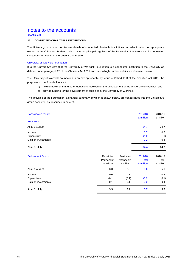(continued)

## **26. CONNECTED CHARITABLE INSTITUTIONS**

The University is required to disclose details of connected charitable institutions, in order to allow for appropriate review by the Office for Students, which acts as principal regulator of the University of Warwick and its connected institutions, on behalf of the Charity Commission.

#### University of Warwick Foundation

It is the University's view that the University of Warwick Foundation is a connected institution to the University as defined under paragraph 28 of the Charities Act 2011 and, accordingly, further details are disclosed below.

The University of Warwick Foundation is an exempt charity, by virtue of Schedule 3 of the Charities Act 2011; the purposes of the Foundation are to:

- (a) hold endowments and other donations received for the development of the University of Warwick; and
- (b) provide funding for the development of buildings at the University of Warwick.

The activities of the Foundation, a financial summary of which is shown below, are consolidated into the University's group accounts, as described in note 25.

| <b>Consolidated results</b> | 2017/18<br>£ million | 2016/17<br>£ million |
|-----------------------------|----------------------|----------------------|
| Net assets                  |                      |                      |
| As at 1 August              | 34.7                 | 34.7                 |
| Income                      | 0.7                  | 0.7                  |
| Expenditure                 | (1.2)                | (1.1)                |
| Gain on investments         | 0.2                  | 0.4                  |
| As at 31 July               | 34.4                 | 34.7                 |

| <b>Endowment Funds</b> | Restricted<br>Permanent<br>£ million | Restricted<br>Expendable<br>£ million | 2017/18<br>Total<br>£ million | 2016/17<br>Total<br>£ million |
|------------------------|--------------------------------------|---------------------------------------|-------------------------------|-------------------------------|
| As at 1 August         | 3.3                                  | 2.3                                   | 5.6                           | 5.1                           |
| Income                 | 0.0                                  | 0.1                                   | 0.1                           | $0.2^{\circ}$                 |
| Expenditure            | (0.1)                                | (0.1)                                 | (0.2)                         | (0.1)                         |
| Gain on investments    | 0.1                                  | 0.1                                   | 0.2                           | 0.4                           |
| As at 31 July          | 3.3                                  | 2.4                                   | 5.7                           | 5.6                           |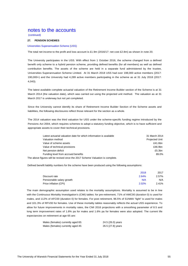(continued)

#### **27. PENSION SCHEMES**

#### Universities Superannuation Scheme (USS)

The total net income to the profit and loss account is £1.9m (2016/17: net cost £2.8m) as shown in note 20.

The University participates in the USS. With effect from 1 October 2016, the scheme changed from a defined benefit only scheme to a hybrid pension scheme, providing defined benefits (for all members) as well as defined Universities Superannuation Scheme Limited. At 31 March 2018 USS had over 198,000 active members (2017: 190,000+) and the University had 4,289 active members participating in the scheme as at 31 July 2018 (2017: contribution benefits. The assets of the scheme are held in a separate fund administered by the trustee, 4,043).

The latest available complete actuarial valuation of the Retirement Income Builder section of the Scheme is at 31 March 2014 (the valuation date), which was carried out using the projected unit method. The valuation as at 31 March 2017 is underway but not yet completed.

The 2014 valuation was the third valuation for USS under the scheme‐specific funding regime introduced by the Since the University cannot identify its share of Retirement Income Builder Section of the Scheme assets and liabilities, the following disclosures reflect those relevant for the section as a whole.

The 2014 valuation was the third valuation for USS under the scheme-specific funding regime introduced by the Pensions Act 2004, which requires schemes to adopt a statutory funding objective, which is to have sufficient and appropriate assets to cover their technical provisions.

| Latest actuarial valuation date for which information is available            | 31 March 2014         |
|-------------------------------------------------------------------------------|-----------------------|
| Valuation method                                                              | <b>Projected Unit</b> |
| Value of scheme assets                                                        | £41.6bn               |
| Value of technical provisions                                                 | £46.9bn               |
| Net pension deficit                                                           | £5.3bn                |
| Funding level from accrued benefits                                           | 89.0%                 |
| The above figures will be revised once the 2017 Scheme Valuation is complete. |                       |

Defined benefit liability numbers for the scheme have been produced using the following assumptions:

|                           | 2018  | 2017  |
|---------------------------|-------|-------|
| Discount rate             | 2.64% | 2.57% |
| Pensionable salary growth | N/A   | N/A   |
| Price inflation (CPI)     | 2.02% | 2.41% |

The main demographic assumption used relates to the mortality assumptions. Mortality is assumed to be in line with the Continuous Mortality Investigation's (CMI) tables: for pre-retirement, 71% of AMC00 (duration 0) is used for males, and 112% of AFC00 (duration 0) for females. For post retirement, 96.5% of S1NMA "light" is used for males and 101.3% of RFV00 for females. Use of these mortality tables reasonably reflects the actual USS experience. To allow for future improvements in mortality rates, the CMI 2016 projections with a smoothing parameter of 8.5 and long term improvement rates of 1.8% pa for males and 1.6% pa for females were also adopted. The current life expectancies on retirement at age 65 are:

| Males (females) currently aged 65: | 24.5 (26.0) years |  |
|------------------------------------|-------------------|--|
| Males (females) currently aged 45: | 26.5 (27.8) years |  |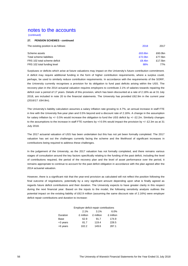(continued)

#### **27. PENSION SCHEMES - continued**

| The existing position is as follows: | 2018                | 2017    |
|--------------------------------------|---------------------|---------|
| Scheme assets                        | £63.6bn             | £60.0bn |
| Total scheme liabilities             | £72.0 <sub>bn</sub> | £77.5bn |
| FRS 102 total scheme deficit         | £8.4bn              | £17.5bn |
| FRS 102 total funding level          | 88%                 | 77%     |

Surpluses or deficits which arise at future valuations may impact on the University's future contribution commitment. A deficit may require additional funding in the form of higher contribution requirements, where a surplus could, perhaps, be used to similarly reduce contribution requirements. In accordance with the requirements of the SORP, the University currently recognises a provision for its obligation to fund past deficits arising within the USS. The recovery plan in the 2014 actuarial valuation requires employers to contribute 2.1% of salaries towards repairing the deficit over a period of 17 years. Details of this provision, which has been discounted at a rate of 2.16% as at 31 July 2018, are included in note 20 to the financial statements. The University has provided £62.9m in the current year (2016/17: £64.8m).

The University's liability calculation assumes a salary inflation rate growing to 4.7%, an annual increase in staff FTE in line with the University five-year plan and 0.5% beyond and a discount rate of 2.16%. A change in the assumption for salary inflation by +/- 0.5% would increase the obligation to fund the USS deficit by +/- £2.2m. Similarly changes to the assumptions to the increase in staff FTE numbers by +/-0.5% would impact the provision by +/- £2.3m as at 31 July 2018.

The 2017 actuarial valuation of USS has been undertaken but this has not yet been formally completed. The 2017 valuation has set out the challenges currently facing the scheme and the likelihood of significant increases in contributions being required to address these challenges.

In the judgement of the University, as the 2017 valuation has not formally completed, and there remains various stages of consultation around the key factors specifically relating to the funding of the past deficit, including the level of contributions required, the period of the recovery plan and the level of asset performance over the period, it remains appropriate to continue to account for the past deficit obligation in accordance with the plan agreed after the 2014 actuarial valuation.

However, there is a significant risk that the year-end provision as calculated will not reflect the position following the final outcome of negotiations, potentially by a very significant amount depending upon what is finally agreed as regards future deficit contributions and their duration. The University expects to have greater clarity in this respect during the next financial year. Based on the inputs to the model, the following sensitivity analysis outlines the potential impact on the existing liability of £62.9 million (assuming the same discount rate of 2.16%) were employer deficit repair contributions and duration to increase:

|              | Employer deficit repair contributions |           |           |  |  |
|--------------|---------------------------------------|-----------|-----------|--|--|
| 2.1%<br>3.1% |                                       |           |           |  |  |
| Duration     | £ million                             | £ million | £ million |  |  |
| Base         | 62.9                                  | 91.7      | 174.9     |  |  |
| +3 years     | 81.7                                  | 119.4     | 228.5     |  |  |
| +6 years     | 102.2                                 | 149.6     | 287.1     |  |  |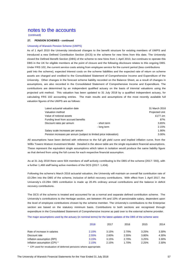(continued)

#### **27. PENSION SCHEMES - continued**

#### University of Warwick Pension Scheme (UWPS)

As of 1 April 2010 the University introduced changes to the benefit structure for existing members of UWPS and introduced a new Defined Contribution Section (DCS) to the scheme for new hires from this date. The University closed the Defined Benefit Section (DBS) of the scheme to new hires from 1 April 2010, but continues to operate this DBS in the UK for eligible members at the point of closure and the following disclosure relates to this ongoing DBS. Under FRS 102, the current service costs arising from employee service for the current period (less contributions paid into the scheme), expected interest costs on the scheme liabilities and the expected rate of return on scheme assets are charged and credited to the Consolidated Statement of Comprehensive Income and Expenditure of the University. Other changes in the forecast scheme liability recorded on the Balance Sheet, as a result of changes in assumptions, are also recorded in the Consolidated Statement of Comprehensive Income and Expenditure. The contributions are determined by an independent qualified actuary on the basis of triennial valuations using the projected unit method. This valuation has been updated to 31 July 2018 by a qualified independent actuary, for calculating FRS 102 accounting entries. The main results and assumptions of the most recently available full valuation figures of the UWPS are as follows:

| Latest actuarial valuation date                                   |              | 31 March 2016         |
|-------------------------------------------------------------------|--------------|-----------------------|
| Valuation method                                                  |              | <b>Projected Unit</b> |
| Value of notional assets                                          |              | £177.1m               |
| Funding level from accrued benefits                               |              | 87%                   |
| Discount rates per annum                                          | - short term | 3.65%                 |
|                                                                   | - long term  | 2.15%                 |
| Salary scale increases per annum                                  |              | 1.90%                 |
| Pension increases per annum (subject to limited price indexation) |              | 3.00%                 |

All assumptions have been derived with reference to the full gilt yield curve and implied inflation curve, from the Willis Towers Watson Investment Model. Detailed in the above table are the single equivalent financial assumptions. These represent the equivalent single assumptions which taken in isolation would produce the same liability figure as that derived from using the full curves for each respective financial assumption.

As at 31 July 2018 there were 504 members of staff actively contributing to the DBS of the scheme (2017: 555), with a further 1,468 staff being active members of the DCS (2017: 1,434).

Following the scheme's March 2016 actuarial valuation, the University will maintain an overall flat contribution rate of £3.29m into the DBS of the scheme, inclusive of deficit recovery contributions. With effect from 1 April 2017, the University's £3.29m DBS contribution is made up 20.4% ordinary annual contributions and the balance in deficit recovery contributions.

The DCS of the scheme is treated and accounted for as a normal and separate defined contribution scheme. The University's contributions to the Heritage section, are between 4% and 10% of pensionable salary, dependent upon the level of employee contributions chosen by the scheme member. The University's contributions to the Enterprise section are based on the statutory minimum basis. Contributions to both sections are recognised through expenditure in the Consolidated Statement of Comprehensive Income as paid over to the external scheme provider.

The major assumptions used by the actuary (in nominal terms) for the latest updates of the DBS of the scheme were:

|                              | 2018  | 2017  | 2016  | 2015  | 2014  |
|------------------------------|-------|-------|-------|-------|-------|
| Rate of increase in salaries | 2.15% | 3.15% | 2.70% | 3.25% | 3.30% |
| Discount rate                | 2.55% | 2.60% | 2.55% | 3.80% | 4.30% |
| Inflation assumption (RPI)   | 3.15% | 3.15% | 2.70% | 3.25% | 3.30% |
| Inflation assumption (CPI) * | 2.15% | 2.15% | 1.70% | 2.25% | 2.30% |

\* CPI used for revaluation of deferred pensions where appropriate.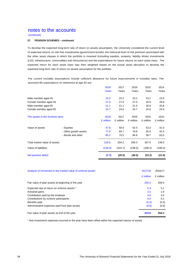(continued)

## **27. PENSION SCHEMES - continued**

To develop the expected long-term rate of return on assets assumption, the University considered the current level of expected returns on risk free investments (government bonds), the historical level of risk premium associated with the other asset classes in which the portfolio is invested (including equities, property, liability driven investments (LDI), infrastructure, commodities and reinsurance) and the expectations for future returns on each asset class. The expected return for each asset class was then weighted based on the actual asset allocation to develop the expected long-term rate of return on assets assumption for the portfolio.

The current mortality assumptions include sufficient allowance for future improvements in mortality rates. The assumed life expectations on retirement at age 65 are:

|                                |                       | 2018      | 2017      | 2016      | 2015      | 2014      |
|--------------------------------|-----------------------|-----------|-----------|-----------|-----------|-----------|
|                                |                       | Years     | Years     | Years     | Years     | Years     |
| Male member aged 45            |                       | 23.3      | 23.2      | 23.2      | 23.1      | 23.0      |
| Female member aged 45          |                       | 27.0      | 27.0      | 27.0      | 26.9      | 26.8      |
| Male member aged 65            |                       | 21.1      | 21.1      | 21.0      | 20.9      | 20.8      |
| Female member aged 65          |                       | 24.7      | 24.6      | 24.7      | 24.6      | 24.5      |
| The assets in the Scheme were: |                       | 2018      | 2017      | 2016      | 2015      | 2014      |
|                                |                       | £ million | £ million | £ million | £ million | £ million |
| Value of assets                | - Equities            | 47.8      | 59.0      | 53.4      | 53.3      | 41.0      |
|                                | - Other growth assets | 77.6      | 69.7      | 79.8      | 55.0      | 42.5      |
|                                | - Bonds and other     | 85.2      | 75.5      | 66.8      | 58.7      | 63.0      |
| Total market value of assets   |                       | 210.6     | 204.2     | 200.0     | 167.0     | 146.5     |
| Value of liabilities           |                       | (218.3)   | (224.7)   | (238.5)   | (190.2)   | (168.4)   |
| Net pension deficit            |                       | (7.7)     | (20.5)    | (38.5)    | (23.2)    | (21.9)    |

| Analysis of movement in the market value of scheme assets | 2017/18   | 2016/17   |
|-----------------------------------------------------------|-----------|-----------|
|                                                           | £ million | £ million |
| Fair value of plan assets at beginning of the year        | 204.2     | 200.0     |
| Expected rate of return on scheme assets *                | 5.3       | 5.1       |
| Actuarial gains                                           | 3.2       | 1.6       |
| Contribution paid by the employer                         | 3.8       | 3.5       |
| Contributions by scheme participants                      | 0.0       | 0.1       |
| Benefits paid                                             | (5.3)     | (5.5)     |
| Administrative expenses paid from plan assets             | (0.6)     | (0.6)     |
| Fair value of plan assets at end of the year              | 210.6     | 204.2     |

\* Non-investment expenses incurred in the year have been offset within the expected returns of assets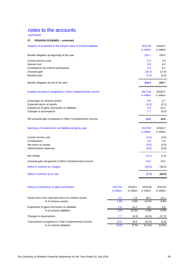(continued)

## **27. PENSION SCHEMES - continued**

| Analysis of movement in the present value of scheme liabilities |                      |                      | 2017/18<br>£ million | 2016/17<br>£ million |
|-----------------------------------------------------------------|----------------------|----------------------|----------------------|----------------------|
| Benefit obligation at beginning of the year                     |                      |                      | 224.7                | 238.5                |
| Current service costs                                           |                      |                      | 3.4                  | 3.5                  |
| Interest cost                                                   |                      |                      | 5.8                  | 6.0                  |
| Contributions by scheme participants                            |                      |                      | 0.0                  | 0.1                  |
| Actuarial gain                                                  |                      |                      | (10.3)               | (17.9)               |
| Benefits paid                                                   |                      |                      | (5.3)                | (5.5)                |
| Benefit obligation at end of the year                           |                      |                      | 218.3                | 224.7                |
| Analysis of amount recognised in Other Comprehensive Income     |                      |                      | 2017/18<br>£ million | 2016/17<br>£ million |
| Actual gain on scheme assets                                    |                      |                      | 8.5                  | 6.7                  |
| Expected return on assets                                       |                      |                      | (5.3)                | (5.1)                |
| Experience of gains and losses on liabilities                   |                      |                      | 2.6                  | 24.2                 |
| Changes in assumptions                                          |                      |                      | 7.7                  | (6.3)                |
| Net actuarial gain recognised in Other Comprehensive Income     |                      |                      | 13.5                 | 19.5                 |
| Summary of movement in net liability during the year            |                      |                      | 2017/18<br>£ million | 2016/17<br>£ million |
| Current service cost                                            |                      |                      | (3.4)                | (3.5)                |
| Contributions                                                   |                      |                      | 3.8                  | 3.5                  |
| Net return on assets                                            |                      |                      | (0.5)                | (0.9)                |
| Administrative expenses                                         |                      |                      | (0.6)                | (0.6)                |
| Net charge                                                      |                      |                      | (0.7)                | (1.5)                |
| Actuarial gain recognised in Other Comprehensive Income         |                      |                      | 13.5                 | 19.5                 |
| Deficit in scheme at 1 August                                   |                      |                      | (20.5)               | (38.5)               |
| Deficit in scheme at 31 July                                    |                      |                      | (7.7)                | (20.5)               |
| History of experience of gains and losses                       | 2017/18<br>£ million | 2016/17<br>£ million | 2015/16<br>£ million | 2014/15<br>£ million |
| Actual return less expected return on scheme assets             | 3.2                  | 1.6                  | 28.3                 | 16.3                 |
| % of scheme assets:                                             | 1.5%                 | 0.8%                 | 14.2%                | 9.8%                 |
| Experience of gains and losses on liabilities                   | 2.6                  | 24.2                 | 0.0                  | 0.0                  |
| % of scheme liabilities:                                        | 1.2%                 | 10.8%                | 0.0%                 | 0.0%                 |
| Changes in assumptions                                          | 7.7                  | (6.3)                | (42.8)               | (17.2)               |
| Total amount recognised in Total Comprehensive Income           | 13.5                 | 19.5                 | (14.5)               | (0.9)                |

% of scheme liabilities: 6.2% 8.7% (6.1%) (0.5%)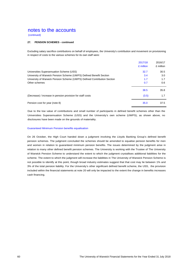(continued)

#### **27. PENSION SCHEMES - continued**

Excluding salary sacrifice contributions on behalf of employees, the University's contribution and movement on provisioning in respect of costs to the various schemes for its own staff were:

|                                                                          | 2017/18<br>£ million | 2016/17<br>£ million |
|--------------------------------------------------------------------------|----------------------|----------------------|
| Universities Superannuation Scheme (USS)                                 | 32.7                 | 30.5                 |
| University of Warwick Pension Scheme (UWPS) Defined Benefit Section      | 3.4                  | 3.0                  |
| University of Warwick Pension Scheme (UWPS) Defined Contribution Section | 1.7                  | 1.7                  |
| Other schemes                                                            | 0.7                  | 0.6                  |
|                                                                          | 38.5                 | 35.8                 |
| (Decrease) / increase in pension provision for staff costs               | (3.5)                | 1.7                  |
| Pension cost for year (note 8)                                           | 35.0                 | 37.5                 |

Due to the low value of contributions and small number of participants in defined benefit schemes other than the Universities Superannuation Scheme (USS) and the University's own scheme (UWPS), as shown above, no disclosures have been made on the grounds of materiality.

#### Guaranteed Minimum Pension benefits equalisation

On 26 October, the High Court handed down a judgment involving the Lloyds Banking Group's defined benefit pension schemes. The judgment concluded the schemes should be amended to equalise pension benefits for men and women in relation to guaranteed minimum pension benefits. The issues determined by the judgment arise in relation to many other defined benefit pension schemes. The University is working with the Trustee of The University of Warwick Pension Scheme to understand the extent to which the judgment crystallises additional liabilities for the scheme. The extent to which the judgment will increase the liabilities in The University of Warwick Pension Scheme is not possible to identify at this point, though broad industry estimates suggest that that cost may lie between 1% and 3% of the total pension liability. For the University's other significant defined benefit scheme, the USS, the provision included within the financial statements at note 20 will only be impacted to the extent the change in benefits increases cash financing.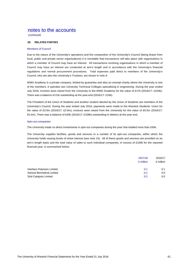(continued)

#### **28. RELATED PARTIES**

#### Members of Council

Due to the nature of the University's operations and the composition of the University's Council (being drawn from local, public and private sector organisations) it is inevitable that transactions will take place with organisations in which a member of Council may have an interest. All transactions involving organisations in which a member of Council may have an interest are conducted at arm's length and in accordance with the University's financial regulations and normal procurement procedures. Total expenses paid direct to members of the University's Council, who are also the University's Trustees, are shown in note 9.

WMG Academy is a private company, limited by quarantee and also an exempt charity where the University is one of the members. It operates two University Technical Colleges specialising in engineering. During the year ended July 2018, invoices were raised from the University to the WMG Academy for the value of £17k (2016/17: £104k). There was a balance of £1k outstanding at the year-end (2016/17: £10k).

The President of the Union of Students and another student elected by the Union of Students are members of the University's Council. During the year ended July 2018, payments were made to the Warwick Students' Union for the value of £3.0m (2016/17: £2.9m), invoices were raised from the University for the value of £0.5m (2016/17: £0.4m). There was a balance of £40k (2016/17: £108k) outstanding in debtors at the year end.

#### Spin-out companies

The University made no direct investments in spin-out companies during the year that totalled more than £50k.

The University supplies facilities, goods and services to a number of its spin-out companies, within which the University holds varying levels of share interest (see note 13). All of these goods and services are provided on an arm's length basis and the total value of sales to such individual companies, in excess of £100k for the reported financial year, is summarised below:

|                            | 2017/18<br>£ million | 2016/17<br>£ million |
|----------------------------|----------------------|----------------------|
| Interface Polymers Limited | 0.1                  | 0.1                  |
| Sarissa Biomedical Limited | 0.1                  | 0.0                  |
| Stoli Catalysts Limited    | 0.2                  | 0.0                  |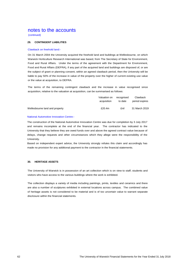(continued)

#### **29. CONTINGENT LIABILITIES**

#### Clawback on freehold land:-

On 31 March 2004 the University acquired the freehold land and buildings at Wellesbourne, on which Warwick Horticulture Research International was based, from The Secretary of State for Environment, Food and Rural Affairs. Under the terms of the agreement with the Department for Environment, Food and Rural Affairs (DEFRA), if any part of the acquired land and buildings are disposed of, or are the subject of grant or planning consent, within an agreed clawback period, then the University will be liable to pay 50% of the increase in value of the property over the higher of current existing use value or the value at acquisition, to DEFRA.

The terms of the remaining contingent clawback and the increase in value recognised since acquisition, relative to the valuation at acquisition, can be summarised as follows:

|                                | Valuation on | recoanised | Clawback       |
|--------------------------------|--------------|------------|----------------|
|                                | acquisition  | to date    | period expires |
| Wellesbourne land and property | £20.4m       | £nil       | 31 March 2019  |

#### National Automotive Innovation Centre:-

The construction of the National Automotive Innovation Centre was due for completion by 3 July 2017 and remains incomplete at the end of the financial year. The contractor has indicated to the University that they believe they are owed funds over and above the agreed contract value because of delays, change requests and other circumstances which they allege were the responsibility of the University.

Based on independent expert advice, the University strongly refutes this claim and accordingly has made no provision for any additional payment to the contractor in the financial statements.

## **30. HERITAGE ASSETS**

The University of Warwick is in possession of an art collection which is on view to staff, students and visitors who have access to the various buildings where the work is exhibited.

The collection displays a variety of media including paintings, prints, textiles and ceramics and there are also a number of sculptures exhibited in external locations across campus. The combined value of heritage assets is not considered to be material and is of too uncertain value to warrant separate disclosure within the financial statements.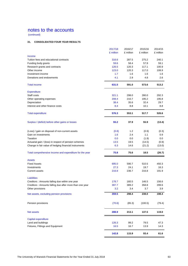(continued)

## **31. CONSOLIDATED FOUR YEAR RESULTS**

|                                                          | 2017/18   | 2016/17   | 2015/16   | 2014/15   |
|----------------------------------------------------------|-----------|-----------|-----------|-----------|
|                                                          | £ million | £ million | £ million | £ million |
| Income                                                   |           |           |           |           |
| Tuition fees and educational contracts                   | 316.6     | 287.5     | 275.2     | 240.1     |
| Funding body grants                                      | 59.6      | 58.4      | 57.9      | 59.1      |
| Research grants and contracts                            | 126.5     | 120.3     | 117.1     | 100.9     |
| Other income                                             | 123.0     | 120.3     | 117.0     | 108.9     |
| Investment income                                        | 1.7       | 1.6       | 1.6       | 1.6       |
| Donations and endowments                                 | 4.1       | 2.9       | 4.8       | 2.6       |
| <b>Total income</b>                                      | 631.5     | 591.0     | 573.6     | 513.2     |
| <b>Expenditure</b>                                       |           |           |           |           |
| Staff costs                                              | 321.1     | 298.0     | 280.0     | 292.3     |
| Other operating expenses                                 | 208.4     | 210.7     | 195.2     | 195.8     |
| Depreciation                                             | 38.4      | 35.6      | 32.4      | 29.7      |
| Interest and other finance costs                         | 8.4       | 8.8       | 10.1      | 8.8       |
| <b>Total expenditure</b>                                 | 576.3     | 553.1     | 517.7     | 526.6     |
| Surplus / (deficit) before other gains or losses         | 55.2      | 37.9      | 55.9      | (13.4)    |
| (Loss) / gain on disposal of non-current assets          | (0.8)     | 1.2       | (0.9)     | (0.3)     |
| Gain on investments                                      | 1.6       | 2.4       | 1.1       | 0.9       |
| Taxation                                                 | 0.0       | 0.0       | (1.9)     | 0.0       |
| Actuarial gain / (loss) in respect of pension schemes    | 13.5      | 19.5      | (14.5)    | (0.9)     |
| Change in fair value of hedging financial instruments    | 6.3       | 14.6      | (21.2)    | (13.0)    |
| Total comprehensive income and expenditure for the year  | 75.8      | 75.6      | 18.5      | (26.7)    |
| <b>Assets</b>                                            |           |           |           |           |
| <b>Fixed Assets</b>                                      | 695.0     | 590.7     | 510.5     | 450.3     |
| Investments                                              | 27.3      | 24.1      | 19.7      | 16.3      |
| <b>Current assets</b>                                    | 216.8     | 236.7     | 216.8     | 191.9     |
| <b>Liabilities</b>                                       |           |           |           |           |
| Creditors : Amounts falling due within one year          | 178.7     | 160.5     | 146.5     | 156.6     |
| Creditors : Amounts falling due after more than one year | 397.7     | 389.2     | 358.8     | 299.6     |
| Other provisions                                         | 3.2       | 3.4       | 3.7       | 3.9       |
| Net assets, excluding pension provisions                 | 359.5     | 298.4     | 238.0     | 198.4     |
| Pension provisions                                       | (70.6)    | (85.3)    | (100.5)   | (79.4)    |
| Net assets                                               | 288.9     | 213.1     | 137.5     | 119.0     |
| Capital expenditure                                      |           |           |           |           |
| Land and buildings                                       | 126.3     | 99.2      | 79.5      | 47.3      |
| Fixtures, Fittings and Equipment                         | 16.5      | 16.7      | 13.9      | 14.3      |
|                                                          | 142.8     | 115.9     | 93.4      | 61.6      |
|                                                          |           |           |           |           |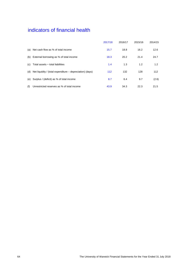# indicators of financial health

|     |                                                           | 2017/18 | 2016/17 | 2015/16 | 2014/15 |
|-----|-----------------------------------------------------------|---------|---------|---------|---------|
| (a) | Net cash flow as % of total income                        | 15.7    | 18.8    | 16.2    | 12.6    |
| (b) | External borrowing as % of total income                   | 18.3    | 20.2    | 21.4    | 24.7    |
| (C) | Total assets $\div$ total liabilities                     | 1.4     | 1.3     | 1.2     | 1.2     |
| (d) | Net liquidity / (total expenditure – depreciation) (days) | 112     | 132     | 128     | 112     |
| (e) | Surplus / (deficit) as % of total income                  | 8.7     | 6.4     | 9.7     | (2.6)   |
| (f) | Unrestricted reserves as % of total income                | 43.9    | 34.3    | 22.3    | 21.5    |